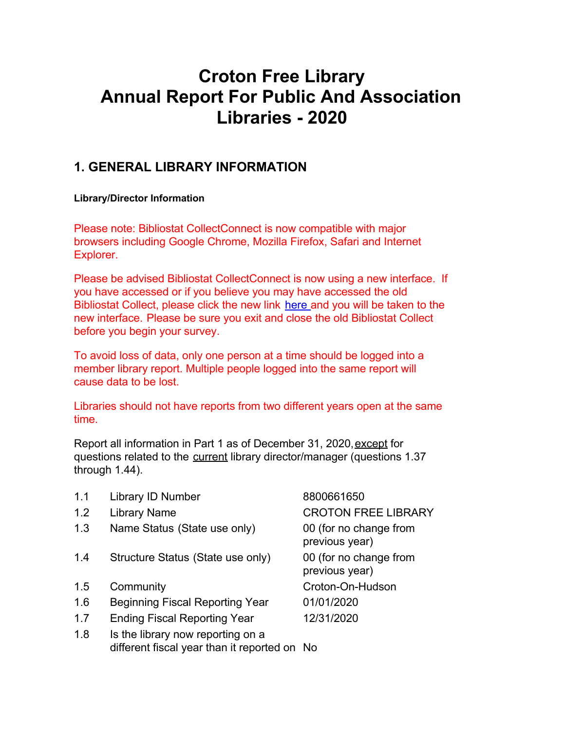# **Croton Free Library Annual Report For Public And Association Libraries - 2020**

# **1. GENERAL LIBRARY INFORMATION**

#### **Library/Director Information**

Please note: Bibliostat CollectConnect is now compatible with major browsers including Google Chrome, Mozilla Firefox, Safari and Internet Explorer.

Please be advised Bibliostat CollectConnect is now using a new interface. If you have accessed or if you believe you may have accessed the old Bibliostat Collect, please click the new link [here](https://collectconnect.baker-taylor.com/login.aspx) and you will be taken to the new interface. Please be sure you exit and close the old Bibliostat Collect before you begin your survey.

To avoid loss of data, only one person at a time should be logged into a member library report. Multiple people logged into the same report will cause data to be lost.

Libraries should not have reports from two different years open at the same time.

Report all information in Part 1 as of December 31, 2020, except for questions related to the current library director/manager (questions 1.37 through 1.44).

- 1.1 Library ID Number 8800661650
- 
- 1.3 Name Status (State use only) 00 (for no change from
- 1.4 Structure Status (State use only) 00 (for no change from
- 
- 1.6 Beginning Fiscal Reporting Year 01/01/2020
- 1.7 Ending Fiscal Reporting Year 12/31/2020
- 1.8 Is the library now reporting on a different fiscal year than it reported on No

1.2 Library Name CROTON FREE LIBRARY previous year) previous year) 1.5 Community Croton-On-Hudson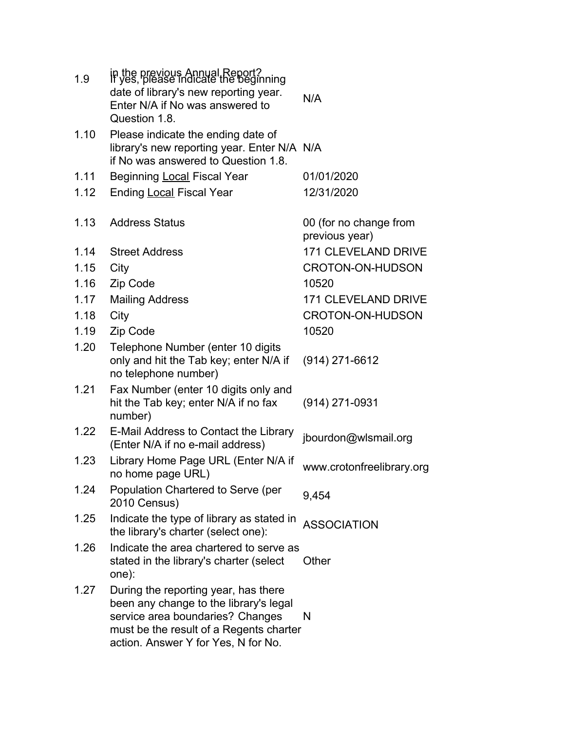| 1.9  | in the previous Annual Report?<br>If yes, please indicate the beginning<br>date of library's new reporting year.<br>Enter N/A if No was answered to<br>Question 1.8.                                 | N/A                                      |
|------|------------------------------------------------------------------------------------------------------------------------------------------------------------------------------------------------------|------------------------------------------|
| 1.10 | Please indicate the ending date of<br>library's new reporting year. Enter N/A N/A<br>if No was answered to Question 1.8.                                                                             |                                          |
| 1.11 | Beginning Local Fiscal Year                                                                                                                                                                          | 01/01/2020                               |
| 1.12 | <b>Ending Local Fiscal Year</b>                                                                                                                                                                      | 12/31/2020                               |
| 1.13 | <b>Address Status</b>                                                                                                                                                                                | 00 (for no change from<br>previous year) |
| 1.14 | <b>Street Address</b>                                                                                                                                                                                | <b>171 CLEVELAND DRIVE</b>               |
| 1.15 | City                                                                                                                                                                                                 | <b>CROTON-ON-HUDSON</b>                  |
| 1.16 | Zip Code                                                                                                                                                                                             | 10520                                    |
| 1.17 | <b>Mailing Address</b>                                                                                                                                                                               | <b>171 CLEVELAND DRIVE</b>               |
| 1.18 | City                                                                                                                                                                                                 | <b>CROTON-ON-HUDSON</b>                  |
| 1.19 | Zip Code                                                                                                                                                                                             | 10520                                    |
| 1.20 | Telephone Number (enter 10 digits<br>only and hit the Tab key; enter N/A if<br>no telephone number)                                                                                                  | $(914)$ 271-6612                         |
| 1.21 | Fax Number (enter 10 digits only and<br>hit the Tab key; enter N/A if no fax<br>number)                                                                                                              | (914) 271-0931                           |
| 1.22 | E-Mail Address to Contact the Library<br>(Enter N/A if no e-mail address)                                                                                                                            | jbourdon@wlsmail.org                     |
| 1.23 | Library Home Page URL (Enter N/A if<br>no home page URL)                                                                                                                                             | www.crotonfreelibrary.org                |
| 1.24 | Population Chartered to Serve (per<br>2010 Census)                                                                                                                                                   | 9,454                                    |
| 1.25 | Indicate the type of library as stated in<br>the library's charter (select one):                                                                                                                     | <b>ASSOCIATION</b>                       |
| 1.26 | Indicate the area chartered to serve as<br>stated in the library's charter (select<br>one):                                                                                                          | Other                                    |
| 1.27 | During the reporting year, has there<br>been any change to the library's legal<br>service area boundaries? Changes<br>must be the result of a Regents charter<br>action. Answer Y for Yes, N for No. | N                                        |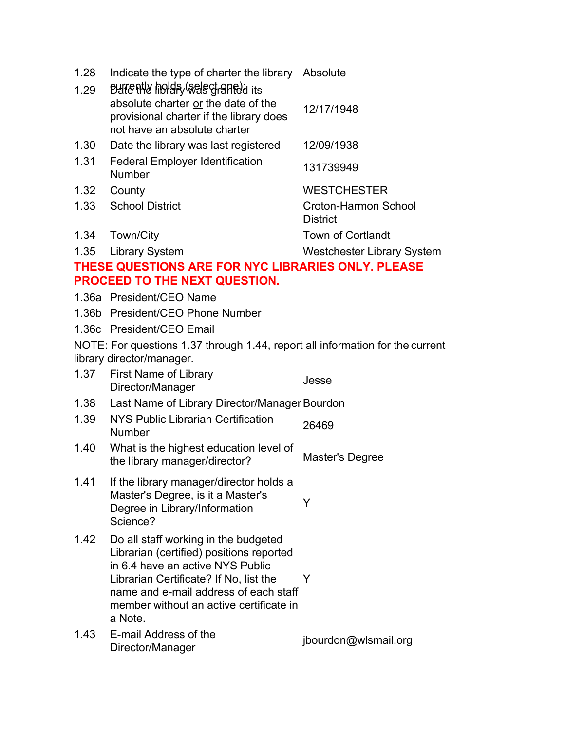| 1.28<br>1.29 | Indicate the type of charter the library Absolute<br>Butently holds (select anted its                                                                                                                                                                         |                                                |  |
|--------------|---------------------------------------------------------------------------------------------------------------------------------------------------------------------------------------------------------------------------------------------------------------|------------------------------------------------|--|
|              | absolute charter or the date of the<br>provisional charter if the library does<br>not have an absolute charter                                                                                                                                                | 12/17/1948                                     |  |
| 1.30         | Date the library was last registered                                                                                                                                                                                                                          | 12/09/1938                                     |  |
| 1.31         | <b>Federal Employer Identification</b><br>Number                                                                                                                                                                                                              | 131739949                                      |  |
| 1.32         | County                                                                                                                                                                                                                                                        | <b>WESTCHESTER</b>                             |  |
| 1.33         | <b>School District</b>                                                                                                                                                                                                                                        | <b>Croton-Harmon School</b><br><b>District</b> |  |
| 1.34         | Town/City                                                                                                                                                                                                                                                     | <b>Town of Cortlandt</b>                       |  |
| 1.35         | <b>Library System</b>                                                                                                                                                                                                                                         | <b>Westchester Library System</b>              |  |
|              | THESE QUESTIONS ARE FOR NYC LIBRARIES ONLY. PLEASE                                                                                                                                                                                                            |                                                |  |
|              | <b>PROCEED TO THE NEXT QUESTION.</b>                                                                                                                                                                                                                          |                                                |  |
|              | 1.36a President/CEO Name                                                                                                                                                                                                                                      |                                                |  |
|              | 1.36b President/CEO Phone Number                                                                                                                                                                                                                              |                                                |  |
|              | 1.36c President/CEO Email                                                                                                                                                                                                                                     |                                                |  |
|              | NOTE: For questions 1.37 through 1.44, report all information for the current<br>library director/manager.                                                                                                                                                    |                                                |  |
| 1.37         | <b>First Name of Library</b><br>Director/Manager                                                                                                                                                                                                              | Jesse                                          |  |
| 1.38         | Last Name of Library Director/Manager Bourdon                                                                                                                                                                                                                 |                                                |  |
| 1.39         | NYS Public Librarian Certification<br><b>Number</b>                                                                                                                                                                                                           | 26469                                          |  |
| 1.40         | What is the highest education level of<br>the library manager/director?                                                                                                                                                                                       | Master's Degree                                |  |
| 1.41         | If the library manager/director holds a<br>Master's Degree, is it a Master's<br>Degree in Library/Information<br>Science?                                                                                                                                     | Y                                              |  |
| 1.42         | Do all staff working in the budgeted<br>Librarian (certified) positions reported<br>in 6.4 have an active NYS Public<br>Librarian Certificate? If No, list the<br>name and e-mail address of each staff<br>member without an active certificate in<br>a Note. | Y                                              |  |
| 1.43         | E-mail Address of the<br>Director/Manager                                                                                                                                                                                                                     | jbourdon@wlsmail.org                           |  |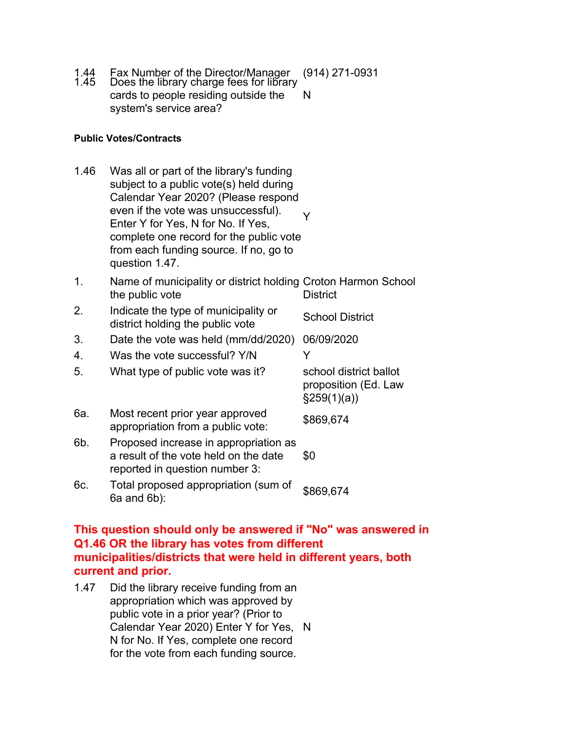- 1.44 Fax Number of the Director/Manager (914) 271-0931 1.45 Does the library charge fees for library
- cards to people residing outside the system's service area? N

#### **Public Votes/Contracts**

- 1.46 Was all or part of the library's funding subject to a public vote(s) held during Calendar Year 2020? (Please respond even if the vote was unsuccessful). Enter Y for Yes, N for No. If Yes, complete one record for the public vote from each funding source. If no, go to question 1.47. Y
- 1. Name of municipality or district holding Croton Harmon School the public vote **District**
- 2. Indicate the type of municipality or district holding the public vote<br>School District
- 3. Date the vote was held (mm/dd/2020) 06/09/2020
- 4. Was the vote successful? Y/N Y

| 5.  | What type of public vote was it?                                                                                 | school district ballot<br>proposition (Ed. Law<br>$\S259(1)(a)$                  |
|-----|------------------------------------------------------------------------------------------------------------------|----------------------------------------------------------------------------------|
| 6а. | Most recent prior year approved<br>appropriation from a public vote:                                             | \$869,674                                                                        |
| 6b. | Proposed increase in appropriation as<br>a result of the vote held on the date<br>reported in question number 3: | \$0                                                                              |
| 6с. | Total proposed appropriation (sum of                                                                             | $\begin{array}{c}\n\bullet & \bullet & \bullet & \bullet & \bullet\n\end{array}$ |

6c. Total proposed appropriation (sum of 6a and 6b):

### **This question should only be answered if "No" was answered in Q1.46 OR the library has votes from different municipalities/districts that were held in different years, both current and prior.**

1.47 Did the library receive funding from an appropriation which was approved by public vote in a prior year? (Prior to Calendar Year 2020) Enter Y for Yes, NN for No. If Yes, complete one record for the vote from each funding source.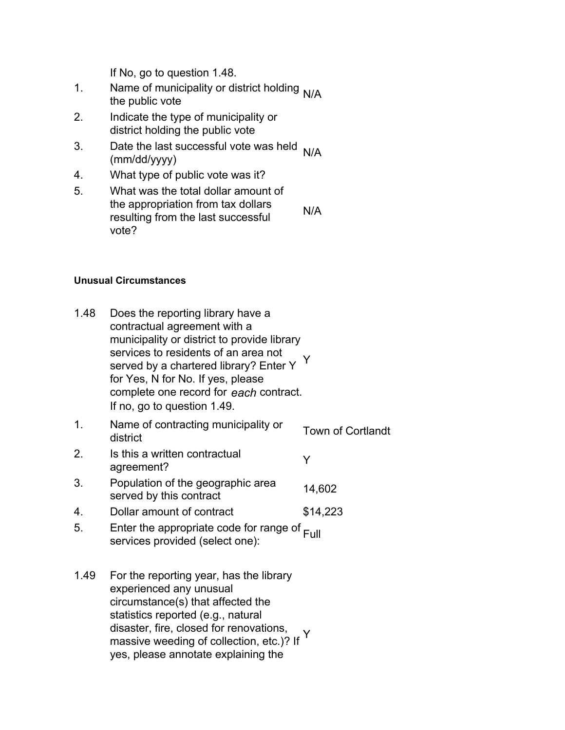If No, go to question 1.48.

- 1. Name of municipality or district holding <sub>N/A</sub><br>the public vote
- 2. Indicate the type of municipality or district holding the public vote
- 3. Date the last successful vote was held  $N/A$  (mm/dd/yyyy)
- 4. What type of public vote was it?
- 5. What was the total dollar amount of the appropriation from tax dollars resulting from the last successful vote? N/A

#### **Unusual Circumstances**

1.48 Does the reporting library have a contractual agreement with a municipality or district to provide library services to residents of an area not served by a chartered library? Enter Y for Yes, N for No. If yes, please complete one record for *each* contract. If no, go to question 1.49. Y 1. Name of contracting municipality or Town of Cortlandt<br>district 2. Is this a written contractual is this a written contractual v<br>agreement? 3. Population of the geographic area served by this contract<br>served by this contract 4. Dollar amount of contract \$14,223 5. Enter the appropriate code for range of <sub>Full</sub><br>services provided (select one): 1.49 For the reporting year, has the library experienced any unusual circumstance(s) that affected the statistics reported (e.g., natural disaster, fire, closed for renovations, disaster, fire, closed for reflovations, YV<br>massive weeding of collection, etc.)? If

yes, please annotate explaining the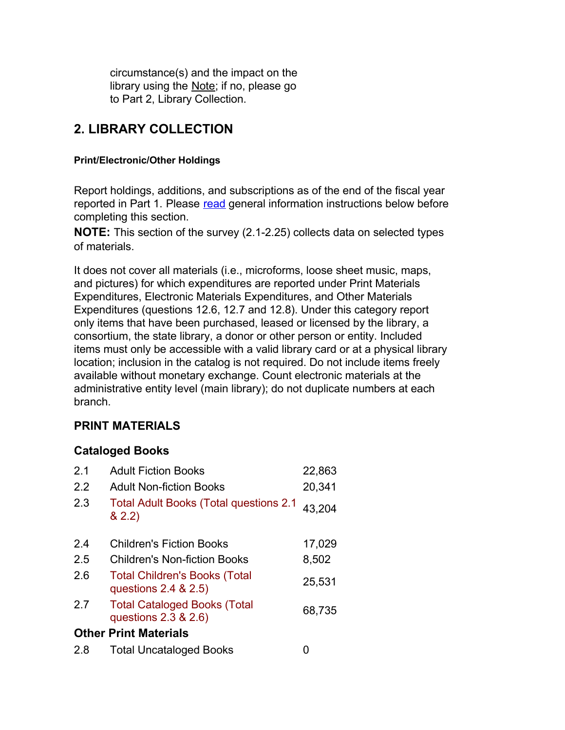circumstance(s) and the impact on the library using the **Note**; if no, please go to Part 2, Library Collection.

# **2. LIBRARY COLLECTION**

#### **Print/Electronic/Other Holdings**

Report holdings, additions, and subscriptions as of the end of the fiscal year reported in Part 1. Please read general information instructions below before completing this section.

**NOTE:** This section of the survey (2.1-2.25) collects data on selected types of materials.

It does not cover all materials (i.e., microforms, loose sheet music, maps, and pictures) for which expenditures are reported under Print Materials Expenditures, Electronic Materials Expenditures, and Other Materials Expenditures (questions 12.6, 12.7 and 12.8). Under this category report only items that have been purchased, leased or licensed by the library, a consortium, the state library, a donor or other person or entity. Included items must only be accessible with a valid library card or at a physical library location; inclusion in the catalog is not required. Do not include items freely available without monetary exchange. Count electronic materials at the administrative entity level (main library); do not duplicate numbers at each branch.

## **PRINT MATERIALS**

## **Cataloged Books**

| 2.1 | <b>Adult Fiction Books</b>                                       | 22,863 |
|-----|------------------------------------------------------------------|--------|
| 2.2 | <b>Adult Non-fiction Books</b>                                   | 20,341 |
| 2.3 | <b>Total Adult Books (Total questions 2.1</b><br>82.2)           | 43,204 |
| 2.4 | <b>Children's Fiction Books</b>                                  | 17,029 |
| 2.5 | Children's Non-fiction Books                                     | 8,502  |
| 2.6 | <b>Total Children's Books (Total</b><br>questions 2.4 & 2.5)     | 25,531 |
| 2.7 | <b>Total Cataloged Books (Total</b><br>questions $2.3$ & $2.6$ ) | 68,735 |
|     | <b>Other Print Materials</b>                                     |        |
| 2.8 | <b>Total Uncataloged Books</b>                                   |        |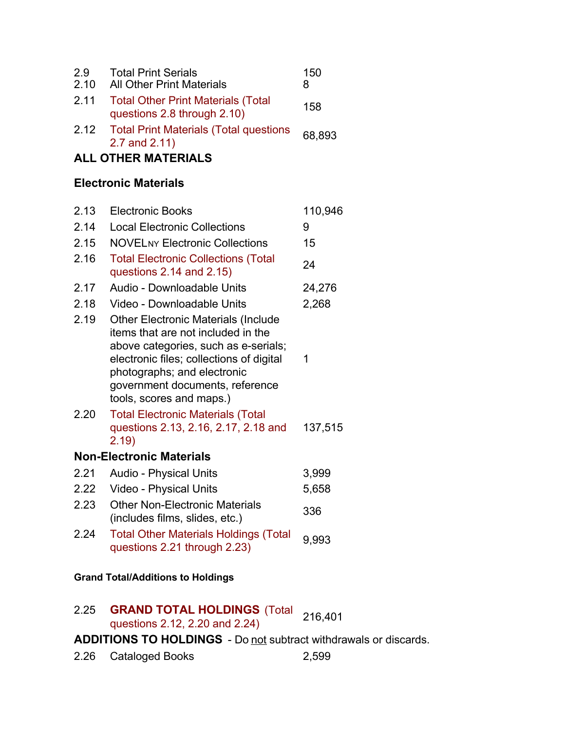| 2.9<br>2.10 | <b>Total Print Serials</b><br><b>All Other Print Materials</b>           | 150<br>8 |
|-------------|--------------------------------------------------------------------------|----------|
| 2.11        | <b>Total Other Print Materials (Total</b><br>questions 2.8 through 2.10) | 158      |
| 2.12        | <b>Total Print Materials (Total questions</b><br>2.7 and $2.11$ )        | 68,893   |

# **ALL OTHER MATERIALS**

# **Electronic Materials**

| 2.13 | <b>Electronic Books</b>                                                                                                                                                                                                                                            | 110,946 |
|------|--------------------------------------------------------------------------------------------------------------------------------------------------------------------------------------------------------------------------------------------------------------------|---------|
| 2.14 | <b>Local Electronic Collections</b>                                                                                                                                                                                                                                | 9       |
| 2.15 | <b>NOVELNY Electronic Collections</b>                                                                                                                                                                                                                              | 15      |
| 2.16 | <b>Total Electronic Collections (Total</b><br>questions $2.14$ and $2.15$ )                                                                                                                                                                                        | 24      |
| 2.17 | Audio - Downloadable Units                                                                                                                                                                                                                                         | 24,276  |
| 2.18 | Video - Downloadable Units                                                                                                                                                                                                                                         | 2,268   |
| 2.19 | <b>Other Electronic Materials (Include</b><br>items that are not included in the<br>above categories, such as e-serials;<br>electronic files; collections of digital<br>photographs; and electronic<br>government documents, reference<br>tools, scores and maps.) | 1       |
| 2.20 | <b>Total Electronic Materials (Total</b><br>questions 2.13, 2.16, 2.17, 2.18 and<br>2.19)                                                                                                                                                                          | 137,515 |
|      | <b>Non-Electronic Materials</b>                                                                                                                                                                                                                                    |         |
| 2.21 | <b>Audio - Physical Units</b>                                                                                                                                                                                                                                      | 3,999   |
| 2.22 | <b>Video - Physical Units</b>                                                                                                                                                                                                                                      | 5,658   |
| 2.23 | <b>Other Non-Electronic Materials</b><br>(includes films, slides, etc.)                                                                                                                                                                                            | 336     |
| 2.24 | <b>Total Other Materials Holdings (Total</b><br>questions 2.21 through 2.23)                                                                                                                                                                                       | 9,993   |
|      |                                                                                                                                                                                                                                                                    |         |

### **Grand Total/Additions to Holdings**

| 2.25                                                                    | <b>GRAND TOTAL HOLDINGS</b> (Total 216,401<br>questions 2.12, 2.20 and 2.24) |       |
|-------------------------------------------------------------------------|------------------------------------------------------------------------------|-------|
| <b>ADDITIONS TO HOLDINGS</b> - Do not subtract withdrawals or discards. |                                                                              |       |
|                                                                         | 2.26 Cataloged Books                                                         | 2.599 |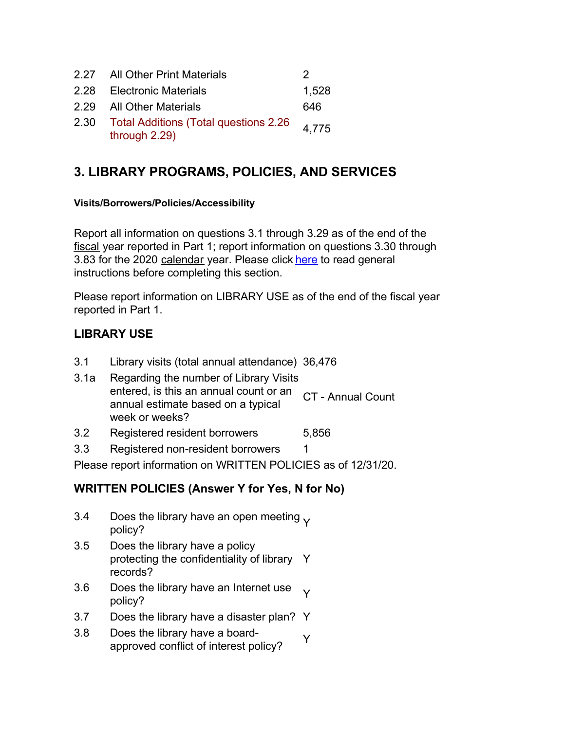|      | 2.27 All Other Print Materials                                    | כי    |
|------|-------------------------------------------------------------------|-------|
|      | 2.28 Electronic Materials                                         | 1,528 |
|      | 2.29 All Other Materials                                          | 646   |
| 2.30 | <b>Total Additions (Total questions 2.26)</b><br>through $2.29$ ) | 4,775 |

# **3. LIBRARY PROGRAMS, POLICIES, AND SERVICES**

#### **Visits/Borrowers/Policies/Accessibility**

Report all information on questions 3.1 through 3.29 as of the end of the fiscal year reported in Part 1; report information on questions 3.30 through 3.83 for the 2020 calendar year. Please click here to read general instructions before completing this section.

Please report information on LIBRARY USE as of the end of the fiscal year reported in Part 1.

## **LIBRARY USE**

- 3.1 Library visits (total annual attendance) 36,476
- 3.1a Regarding the number of Library Visits entered, is this an annual count or an annual estimate based on a typical week or weeks? CT - Annual Count
- 3.2 Registered resident borrowers 5,856
- 3.3 Registered non-resident borrowers 1

Please report information on WRITTEN POLICIES as of 12/31/20.

## **WRITTEN POLICIES (Answer Y for Yes, N for No)**

- 3.4 Does the library have an open meeting  $\gamma$  policy?
- 3.5 Does the library have a policy protecting the confidentiality of library Y records?
- 3.6 Does the library have an Internet use  $\gamma$  policy?
- 3.7 Does the library have a disaster plan? Y
- 3.8 Does the library have a boardboes the library have a board-<br>approved conflict of interest policy?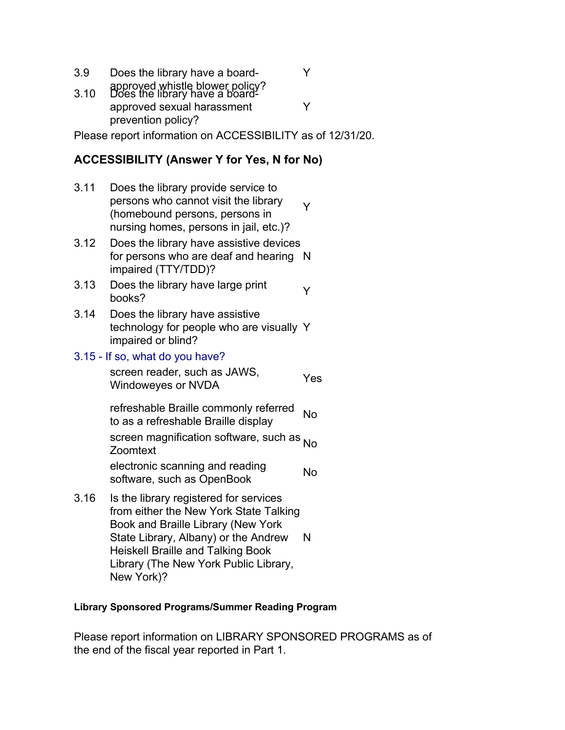- 3.9 Does the library have a board-
- approved whistle blower policy? 3.10 Does the library have a boardapproved sexual harassment prevention policy? Y

Please report information on ACCESSIBILITY as of 12/31/20.

Y

## **ACCESSIBILITY (Answer Y for Yes, N for No)**

- 3.11 Does the library provide service to persons who cannot visit the library (homebound persons, persons in nursing homes, persons in jail, etc.)? Y
- 3.12 Does the library have assistive devices for persons who are deaf and hearing N impaired (TTY/TDD)?
- 3.13 Does the library have large print  $\gamma$  books?
- 3.14 Does the library have assistive technology for people who are visually Y impaired or blind?

### 3.15 - If so, what do you have?

screen reader, such as JAWS, Screen reader, such as SAWO, The Yes

refreshable Braille commonly referred to as a refreshable Braille display

screen magnification software, such as <sub>No</sub><br>Zoomtext

electronic scanning and reading software, such as OpenBook No

3.16 Is the library registered for services from either the New York State Talking Book and Braille Library (New York State Library, Albany) or the Andrew Heiskell Braille and Talking Book Library (The New York Public Library, New York)? N

#### **Library Sponsored Programs/Summer Reading Program**

Please report information on LIBRARY SPONSORED PROGRAMS as of the end of the fiscal year reported in Part 1.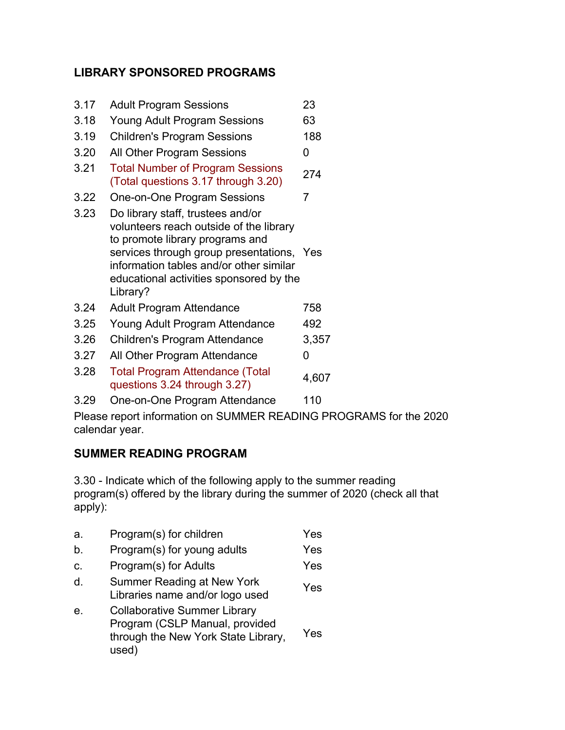## **LIBRARY SPONSORED PROGRAMS**

| 3.17 | <b>Adult Program Sessions</b>                                                                                                                                                                                                                                  | 23    |
|------|----------------------------------------------------------------------------------------------------------------------------------------------------------------------------------------------------------------------------------------------------------------|-------|
| 3.18 | <b>Young Adult Program Sessions</b>                                                                                                                                                                                                                            | 63    |
| 3.19 | <b>Children's Program Sessions</b>                                                                                                                                                                                                                             | 188   |
| 3.20 | All Other Program Sessions                                                                                                                                                                                                                                     | 0     |
| 3.21 | <b>Total Number of Program Sessions</b><br>(Total questions 3.17 through 3.20)                                                                                                                                                                                 | 274   |
| 3.22 | One-on-One Program Sessions                                                                                                                                                                                                                                    | 7     |
| 3.23 | Do library staff, trustees and/or<br>volunteers reach outside of the library<br>to promote library programs and<br>services through group presentations, Yes<br>information tables and/or other similar<br>educational activities sponsored by the<br>Library? |       |
| 3.24 | <b>Adult Program Attendance</b>                                                                                                                                                                                                                                | 758   |
| 3.25 | Young Adult Program Attendance                                                                                                                                                                                                                                 | 492   |
| 3.26 | Children's Program Attendance                                                                                                                                                                                                                                  | 3,357 |
| 3.27 | All Other Program Attendance                                                                                                                                                                                                                                   | 0     |
| 3.28 | <b>Total Program Attendance (Total</b><br>questions 3.24 through 3.27)                                                                                                                                                                                         | 4,607 |

3.29 One-on-One Program Attendance 110

Please report information on SUMMER READING PROGRAMS for the 2020 calendar year.

# **SUMMER READING PROGRAM**

3.30 - Indicate which of the following apply to the summer reading program(s) offered by the library during the summer of 2020 (check all that apply):

| а.           | Program(s) for children                                                                                               | Yes |
|--------------|-----------------------------------------------------------------------------------------------------------------------|-----|
| b.           | Program(s) for young adults                                                                                           | Yes |
| C.           | Program(s) for Adults                                                                                                 | Yes |
| $\mathsf{d}$ | <b>Summer Reading at New York</b><br>Libraries name and/or logo used                                                  | Yes |
| е.           | <b>Collaborative Summer Library</b><br>Program (CSLP Manual, provided<br>through the New York State Library,<br>used) | Yes |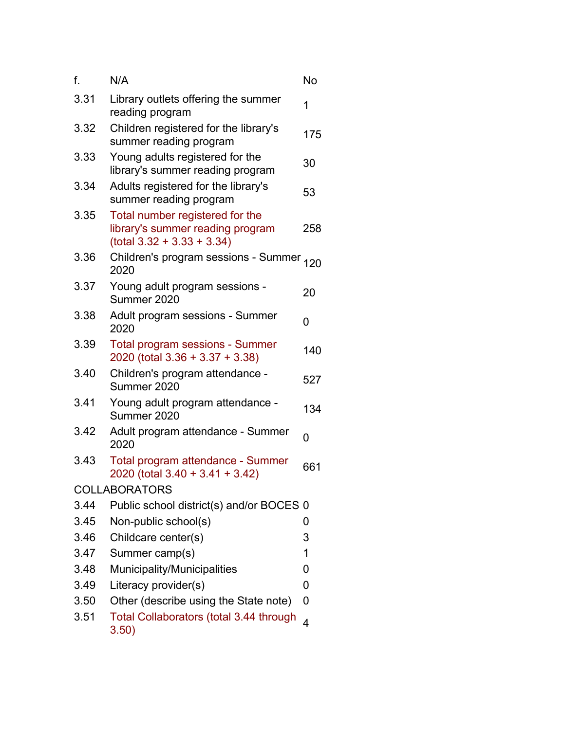| f.   | N/A                                                                                                 | No  |
|------|-----------------------------------------------------------------------------------------------------|-----|
| 3.31 | Library outlets offering the summer<br>reading program                                              | 1   |
| 3.32 | Children registered for the library's<br>summer reading program                                     | 175 |
| 3.33 | Young adults registered for the<br>library's summer reading program                                 | 30  |
| 3.34 | Adults registered for the library's<br>summer reading program                                       | 53  |
| 3.35 | Total number registered for the<br>library's summer reading program<br>$(total 3.32 + 3.33 + 3.34)$ | 258 |
| 3.36 | Children's program sessions - Summer <sub>120</sub><br>2020                                         |     |
| 3.37 | Young adult program sessions -<br>Summer 2020                                                       | 20  |
| 3.38 | Adult program sessions - Summer<br>2020                                                             | 0   |
| 3.39 | <b>Total program sessions - Summer</b><br>2020 (total 3.36 + 3.37 + 3.38)                           | 140 |
| 3.40 | Children's program attendance -<br>Summer 2020                                                      | 527 |
| 3.41 | Young adult program attendance -<br>Summer 2020                                                     | 134 |
| 3.42 | Adult program attendance - Summer<br>2020                                                           | 0   |
| 3.43 | Total program attendance - Summer<br>2020 (total 3.40 + 3.41 + 3.42)                                | 661 |
|      | <b>COLLABORATORS</b>                                                                                |     |
| 3.44 | Public school district(s) and/or BOCES 0                                                            |     |
| 3.45 | Non-public school(s)                                                                                | 0   |
| 3.46 | Childcare center(s)                                                                                 | 3   |
| 3.47 | Summer camp(s)                                                                                      | 1   |
| 3.48 | Municipality/Municipalities                                                                         | 0   |
| 3.49 | Literacy provider(s)                                                                                | 0   |
| 3.50 | Other (describe using the State note)                                                               | 0   |
| 3.51 | <b>Total Collaborators (total 3.44 through</b><br>3.50)                                             | 4   |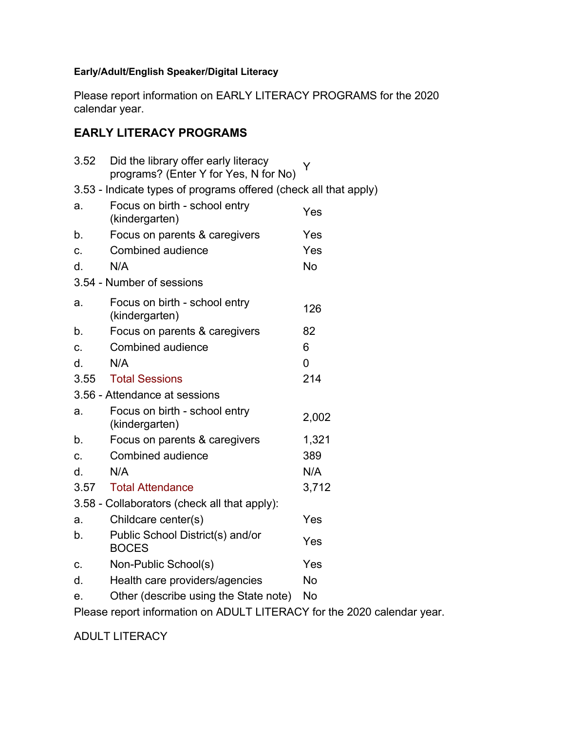### **Early/Adult/English Speaker/Digital Literacy**

Please report information on EARLY LITERACY PROGRAMS for the 2020 calendar year.

# **EARLY LITERACY PROGRAMS**

| 3.52                                                                    | Did the library offer early literacy<br>programs? (Enter Y for Yes, N for No) | Y         |  |  |
|-------------------------------------------------------------------------|-------------------------------------------------------------------------------|-----------|--|--|
|                                                                         | 3.53 - Indicate types of programs offered (check all that apply)              |           |  |  |
| a.                                                                      | Focus on birth - school entry<br>(kindergarten)                               | Yes       |  |  |
| b.                                                                      | Focus on parents & caregivers                                                 | Yes       |  |  |
| C.                                                                      | Combined audience                                                             | Yes       |  |  |
| d.                                                                      | N/A                                                                           | <b>No</b> |  |  |
|                                                                         | 3.54 - Number of sessions                                                     |           |  |  |
| a.                                                                      | Focus on birth - school entry<br>(kindergarten)                               | 126       |  |  |
| b.                                                                      | Focus on parents & caregivers                                                 | 82        |  |  |
| C.                                                                      | Combined audience                                                             | 6         |  |  |
| d.                                                                      | N/A                                                                           | 0         |  |  |
| 3.55                                                                    | <b>Total Sessions</b>                                                         | 214       |  |  |
|                                                                         | 3.56 - Attendance at sessions                                                 |           |  |  |
| a.                                                                      | Focus on birth - school entry<br>(kindergarten)                               | 2,002     |  |  |
| b.                                                                      | Focus on parents & caregivers                                                 | 1,321     |  |  |
| C.                                                                      | Combined audience                                                             | 389       |  |  |
| d.                                                                      | N/A                                                                           | N/A       |  |  |
| 3.57                                                                    | <b>Total Attendance</b>                                                       | 3,712     |  |  |
|                                                                         | 3.58 - Collaborators (check all that apply):                                  |           |  |  |
| a.                                                                      | Childcare center(s)                                                           | Yes       |  |  |
| b.                                                                      | Public School District(s) and/or<br><b>BOCES</b>                              | Yes       |  |  |
| c.                                                                      | Non-Public School(s)                                                          | Yes       |  |  |
| d.                                                                      | Health care providers/agencies                                                | No        |  |  |
| е.                                                                      | Other (describe using the State note)                                         | No        |  |  |
| Please report information on ADULT LITERACY for the 2020 calendar year. |                                                                               |           |  |  |

ADULT LITERACY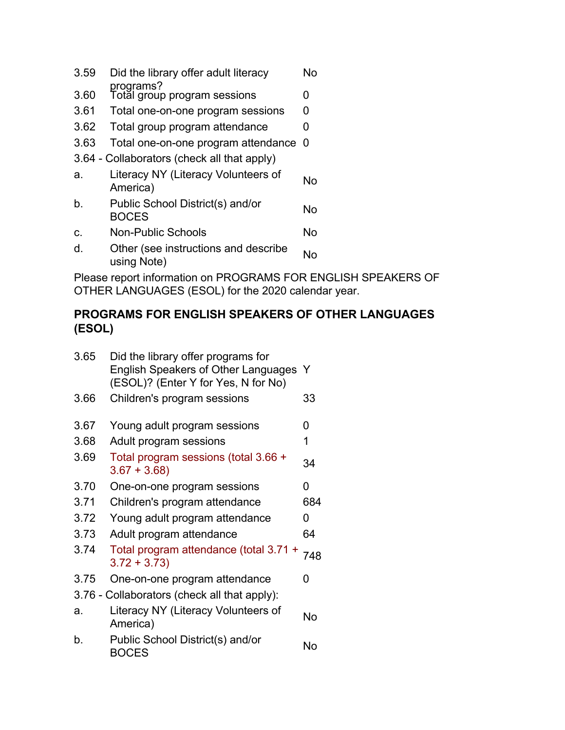- 3.59 Did the library offer adult literacy No
- programs? 3.60 Total group program sessions 0
- 3.61 Total one-on-one program sessions 0
- 3.62 Total group program attendance 0
- 3.63 Total one-on-one program attendance 0
- 3.64 Collaborators (check all that apply)
- a. Literacy NY (Literacy Volunteers of No
- b. Public School District(s) and/or Mo<br>BOCES
- c. Non-Public Schools No
- d. Other (see instructions and describe No<br>using Note)

Please report information on PROGRAMS FOR ENGLISH SPEAKERS OF OTHER LANGUAGES (ESOL) for the 2020 calendar year.

# **PROGRAMS FOR ENGLISH SPEAKERS OF OTHER LANGUAGES (ESOL)**

| 3.65 | Did the library offer programs for<br>English Speakers of Other Languages Y<br>(ESOL)? (Enter Y for Yes, N for No) |     |
|------|--------------------------------------------------------------------------------------------------------------------|-----|
| 3.66 | Children's program sessions                                                                                        | 33  |
| 3.67 | Young adult program sessions                                                                                       | 0   |
| 3.68 | Adult program sessions                                                                                             | 1   |
| 3.69 | Total program sessions (total 3.66 +<br>$3.67 + 3.68$                                                              | 34  |
| 3.70 | One-on-one program sessions                                                                                        | 0   |
| 3.71 | Children's program attendance                                                                                      | 684 |
| 3.72 | Young adult program attendance                                                                                     | 0   |
| 3.73 | Adult program attendance                                                                                           | 64  |
| 3.74 | Total program attendance (total 3.71 +<br>$3.72 + 3.73$                                                            | 748 |
| 3.75 | One-on-one program attendance                                                                                      | O   |
|      | 3.76 - Collaborators (check all that apply):                                                                       |     |
| a.   | Literacy NY (Literacy Volunteers of<br>America)                                                                    | No  |
| b.   | Public School District(s) and/or<br><b>BOCES</b>                                                                   | No  |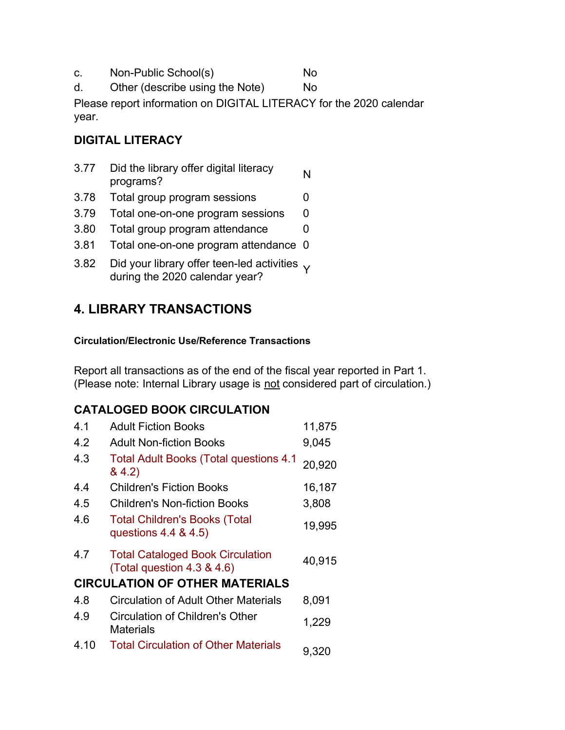c. Non-Public School(s) No

d. Other (describe using the Note) No

Please report information on DIGITAL LITERACY for the 2020 calendar year.

# **DIGITAL LITERACY**

- 3.77 Did the library offer digital literacy<br>programs?
- 3.78 Total group program sessions 0
- 3.79 Total one-on-one program sessions 0
- 3.80 Total group program attendance 0
- 3.81 Total one-on-one program attendance 0
- 3.82 Did your library offer teen-led activities  $\sqrt{}$ during the 2020 calendar year?

# **4. LIBRARY TRANSACTIONS**

### **Circulation/Electronic Use/Reference Transactions**

Report all transactions as of the end of the fiscal year reported in Part 1. (Please note: Internal Library usage is not considered part of circulation.)

# **CATALOGED BOOK CIRCULATION**

| 4.1  | <b>Adult Fiction Books</b>                                            | 11,875 |
|------|-----------------------------------------------------------------------|--------|
| 4.2  | <b>Adult Non-fiction Books</b>                                        | 9,045  |
| 4.3  | <b>Total Adult Books (Total questions 4.1</b><br>8, 4.2)              | 20,920 |
| 4.4  | <b>Children's Fiction Books</b>                                       | 16,187 |
| 4.5  | <b>Children's Non-fiction Books</b>                                   | 3,808  |
| 4.6  | <b>Total Children's Books (Total</b><br>questions 4.4 & 4.5)          | 19,995 |
| 4.7  | <b>Total Cataloged Book Circulation</b><br>(Total question 4.3 & 4.6) | 40,915 |
|      | <b>CIRCULATION OF OTHER MATERIALS</b>                                 |        |
| 4.8  | Circulation of Adult Other Materials                                  | 8,091  |
| 4.9  | Circulation of Children's Other<br>Materials                          | 1,229  |
| 4.10 | <b>Total Circulation of Other Materials</b>                           | 9,320  |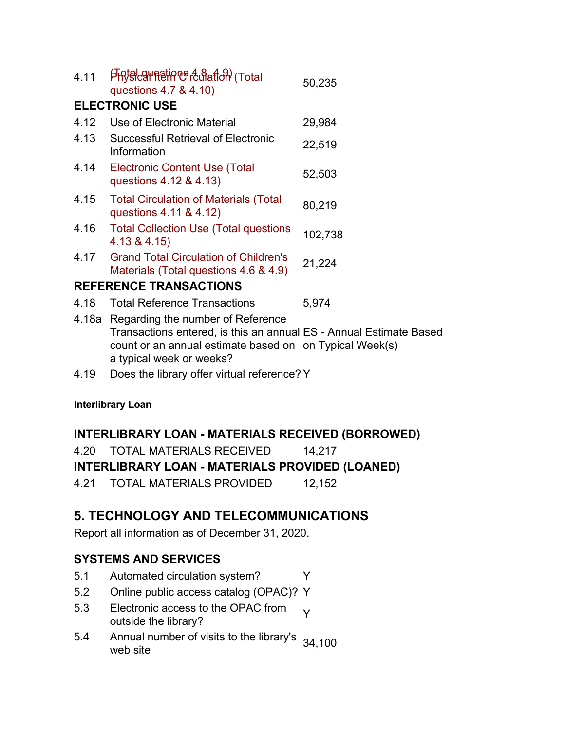| 4.11 | <b>FRISCH RETROS COOL OF TOTAL</b><br>questions 4.7 & 4.10)                                                                                                              | 50,235  |
|------|--------------------------------------------------------------------------------------------------------------------------------------------------------------------------|---------|
|      | <b>ELECTRONIC USE</b>                                                                                                                                                    |         |
| 4.12 | Use of Electronic Material                                                                                                                                               | 29,984  |
| 4.13 | Successful Retrieval of Electronic<br>Information                                                                                                                        | 22,519  |
| 4.14 | <b>Electronic Content Use (Total</b><br>questions 4.12 & 4.13)                                                                                                           | 52,503  |
| 4.15 | <b>Total Circulation of Materials (Total</b><br>questions 4.11 & 4.12)                                                                                                   | 80,219  |
| 4.16 | <b>Total Collection Use (Total questions</b><br>4.13 & 4.15                                                                                                              | 102,738 |
| 4.17 | <b>Grand Total Circulation of Children's</b><br>Materials (Total questions 4.6 & 4.9)                                                                                    | 21,224  |
|      | <b>REFERENCE TRANSACTIONS</b>                                                                                                                                            |         |
| 4.18 | <b>Total Reference Transactions</b>                                                                                                                                      | 5,974   |
|      | 4.18a Regarding the number of Reference<br>Transactions entered, is this an annual ES - Annual Estimate Based<br>count or an annual estimate based on on Typical Week(s) |         |

- a typical week or weeks?
- 4.19 Does the library offer virtual reference? Y

#### **Interlibrary Loan**

#### **INTERLIBRARY LOAN - MATERIALS RECEIVED (BORROWED)**

4.20 TOTAL MATERIALS RECEIVED 14,217

#### **INTERLIBRARY LOAN - MATERIALS PROVIDED (LOANED)**

4.21 TOTAL MATERIALS PROVIDED 12,152

# **5. TECHNOLOGY AND TELECOMMUNICATIONS**

Report all information as of December 31, 2020.

### **SYSTEMS AND SERVICES**

- 5.1 Automated circulation system? Y
- 5.2 Online public access catalog (OPAC)? Y
- 5.3 Electronic access to the OPAC from Electronic access to the OPAC from  $\gamma$ <br>outside the library?
- 5.4 Annual number of visits to the library's 34,100<br>web site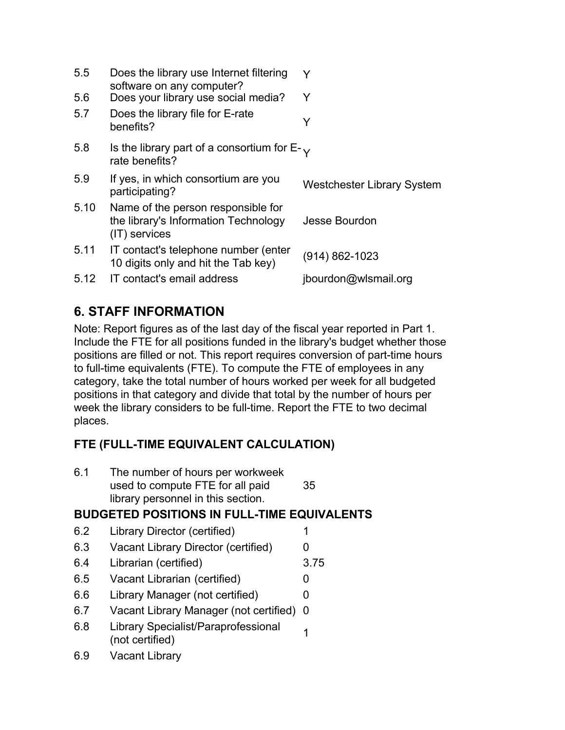| 5.5  | Does the library use Internet filtering<br>software on any computer?                        | Y                                 |
|------|---------------------------------------------------------------------------------------------|-----------------------------------|
| 5.6  | Does your library use social media?                                                         | Y                                 |
| 5.7  | Does the library file for E-rate<br>benefits?                                               | Y                                 |
| 5.8  | Is the library part of a consortium for $E_{-\sqrt{2}}$<br>rate benefits?                   |                                   |
| 5.9  | If yes, in which consortium are you<br>participating?                                       | <b>Westchester Library System</b> |
| 5.10 | Name of the person responsible for<br>the library's Information Technology<br>(IT) services | Jesse Bourdon                     |
| 5.11 | IT contact's telephone number (enter<br>10 digits only and hit the Tab key)                 | (914) 862-1023                    |
| 5.12 | IT contact's email address                                                                  | jbourdon@wlsmail.org              |

# **6. STAFF INFORMATION**

Note: Report figures as of the last day of the fiscal year reported in Part 1. Include the FTE for all positions funded in the library's budget whether those positions are filled or not. This report requires conversion of part-time hours to full-time equivalents (FTE). To compute the FTE of employees in any category, take the total number of hours worked per week for all budgeted positions in that category and divide that total by the number of hours per week the library considers to be full-time. Report the FTE to two decimal places.

# **FTE (FULL-TIME EQUIVALENT CALCULATION)**

| 6.1 | The number of hours per workweek<br>used to compute FTE for all paid<br>library personnel in this section. | 35   |
|-----|------------------------------------------------------------------------------------------------------------|------|
|     | <b>BUDGETED POSITIONS IN FULL-TIME EQUIVALENTS</b>                                                         |      |
| 6.2 | Library Director (certified)                                                                               | 1    |
| 6.3 | Vacant Library Director (certified)                                                                        | O    |
| 6.4 | Librarian (certified)                                                                                      | 3.75 |
| 6.5 | Vacant Librarian (certified)                                                                               | 0    |
| 6.6 | Library Manager (not certified)                                                                            | 0    |
| 6.7 | Vacant Library Manager (not certified)                                                                     | - 0  |
| ∩ ∩ | $\blacksquare$                                                                                             |      |

- 6.8 Library Specialist/Paraprofessional 1
- 6.9 Vacant Library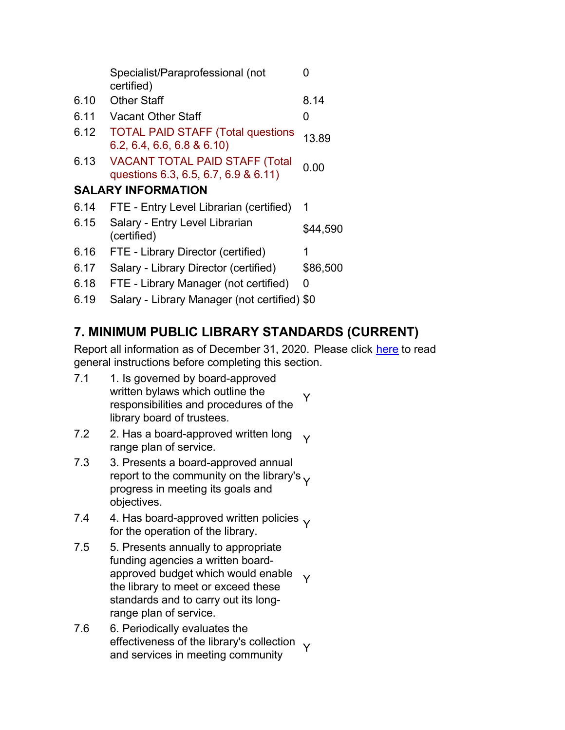|      | Specialist/Paraprofessional (not<br>certified)                                | O        |
|------|-------------------------------------------------------------------------------|----------|
| 6.10 | <b>Other Staff</b>                                                            | 8.14     |
| 6.11 | <b>Vacant Other Staff</b>                                                     | 0        |
| 6.12 | <b>TOTAL PAID STAFF (Total questions</b><br>6.2, 6.4, 6.6, 6.8 & 6.10         | 13.89    |
| 6.13 | <b>VACANT TOTAL PAID STAFF (Total</b><br>questions 6.3, 6.5, 6.7, 6.9 & 6.11) | 0.00     |
|      | <b>SALARY INFORMATION</b>                                                     |          |
| 6.14 | FTE - Entry Level Librarian (certified)                                       | 1        |
| 6.15 | Salary - Entry Level Librarian<br>(certified)                                 | \$44,590 |
| 6.16 | FTE - Library Director (certified)                                            | 1        |
| 6.17 | Salary - Library Director (certified)                                         | \$86,500 |
| 6.18 | FTE - Library Manager (not certified)                                         | 0        |
| 6.19 | Salary - Library Manager (not certified) \$0                                  |          |

# **7. MINIMUM PUBLIC LIBRARY STANDARDS (CURRENT)**

Report all information as of December 31, 2020. Please click here to read general instructions before completing this section.

- 7.1 1. Is governed by board-approved written bylaws which outline the responsibilities and procedures of the library board of trustees. Y
- 7.2 2. Has a board-approved written long z. Has a board-approved written long  $\gamma$ <br>range plan of service.
- 7.3 3. Presents a board-approved annual report to the community on the library's  $\gamma$ progress in meeting its goals and objectives.
- 7.4 4. Has board-approved written policies  $\sqrt{ }$ for the operation of the library.
- 7.5 5. Presents annually to appropriate funding agencies a written boardapproved budget which would enable the library to meet or exceed these standards and to carry out its longrange plan of service. Y
- 7.6 6. Periodically evaluates the effectiveness of the library's collection  $\sqrt{}$ and services in meeting community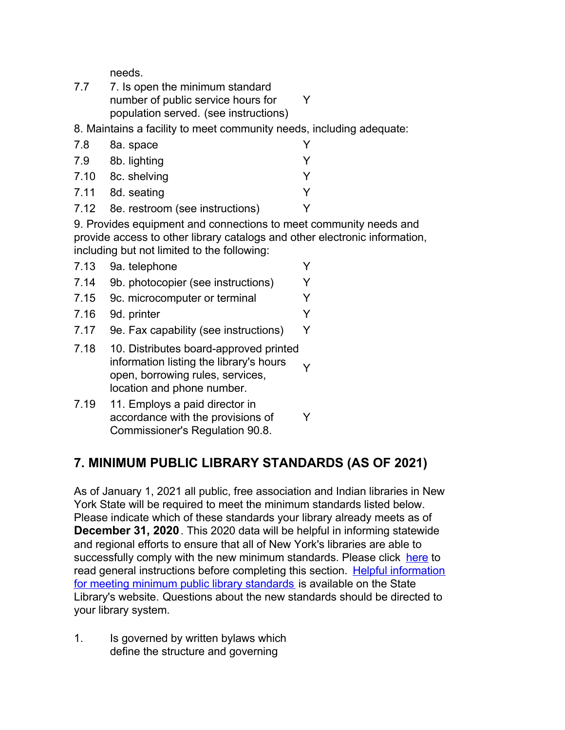needs.

| 7.7 | 7. Is open the minimum standard       |  |
|-----|---------------------------------------|--|
|     | number of public service hours for    |  |
|     | population served. (see instructions) |  |

8. Maintains a facility to meet community needs, including adequate:

| 7.8 | 8a. space                            |   |
|-----|--------------------------------------|---|
| 7.9 | 8b. lighting                         | v |
|     | 7.10 8c. shelving                    | v |
|     | 7.11 8d. seating                     | v |
|     | 7.12 8e. restroom (see instructions) |   |

9. Provides equipment and connections to meet community needs and provide access to other library catalogs and other electronic information, including but not limited to the following:

- 7.13 9a. telephone Y 7.14 9b. photocopier (see instructions) Y 7.15 9c. microcomputer or terminal Y 7.16 9d. printer Y 7.17 9e. Fax capability (see instructions) Y 7.18 10. Distributes board-approved printed information listing the library's hours open, borrowing rules, services, Y
- 7.19 11. Employs a paid director in accordance with the provisions of Commissioner's Regulation 90.8. Y

location and phone number.

# **7. MINIMUM PUBLIC LIBRARY STANDARDS (AS OF 2021)**

As of January 1, 2021 all public, free association and Indian libraries in New York State will be required to meet the minimum standards listed below. Please indicate which of these standards your library already meets as of **December 31, 2020**. This 2020 data will be helpful in informing statewide and regional efforts to ensure that all of New York's libraries are able to successfully comply with the new minimum standards. Please click here to [read general instructions before completing this section. Helpful information](http://www.nysl.nysed.gov/libdev/helpful/index.html) for meeting minimum public library standards is available on the State Library's website. Questions about the new standards should be directed to your library system.

1. Is governed by written bylaws which define the structure and governing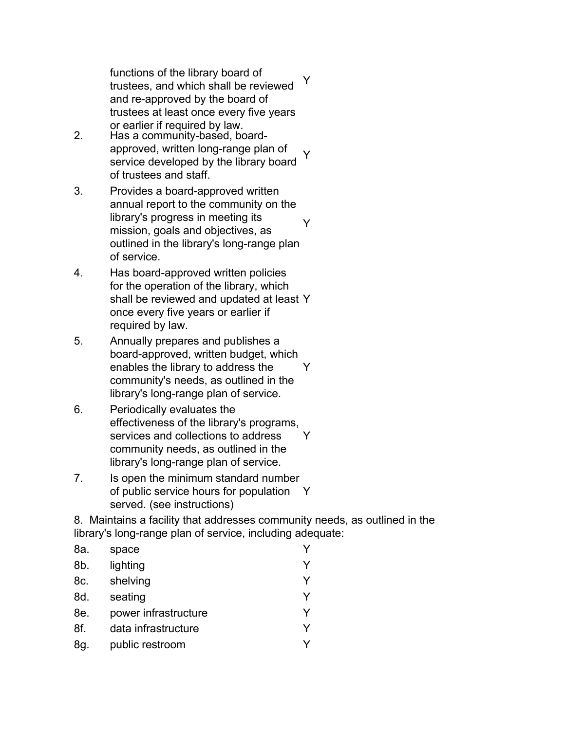functions of the library board of trustees, and which shall be reviewed and re-approved by the board of trustees at least once every five years or earlier if required by law. Y

- 2. Has a community-based, boardapproved, written long-range plan of service developed by the library board of trustees and staff. Y
- 3. Provides a board-approved written annual report to the community on the library's progress in meeting its mission, goals and objectives, as outlined in the library's long-range plan of service. Y
- 4. Has board-approved written policies for the operation of the library, which shall be reviewed and updated at least Y once every five years or earlier if required by law.
- 5. Annually prepares and publishes a board-approved, written budget, which enables the library to address the community's needs, as outlined in the library's long-range plan of service. Y
- 6. Periodically evaluates the effectiveness of the library's programs, services and collections to address community needs, as outlined in the library's long-range plan of service. Y
- 7. Is open the minimum standard number of public service hours for population Y served. (see instructions)

8. Maintains a facility that addresses community needs, as outlined in the library's long-range plan of service, including adequate:

| 8a. | space                |   |
|-----|----------------------|---|
| 8b. | lighting             | v |
| 8c. | shelving             | Y |
| 8d. | seating              | v |
| 8e. | power infrastructure | v |
| 8f. | data infrastructure  | V |
| 8g. | public restroom      |   |
|     |                      |   |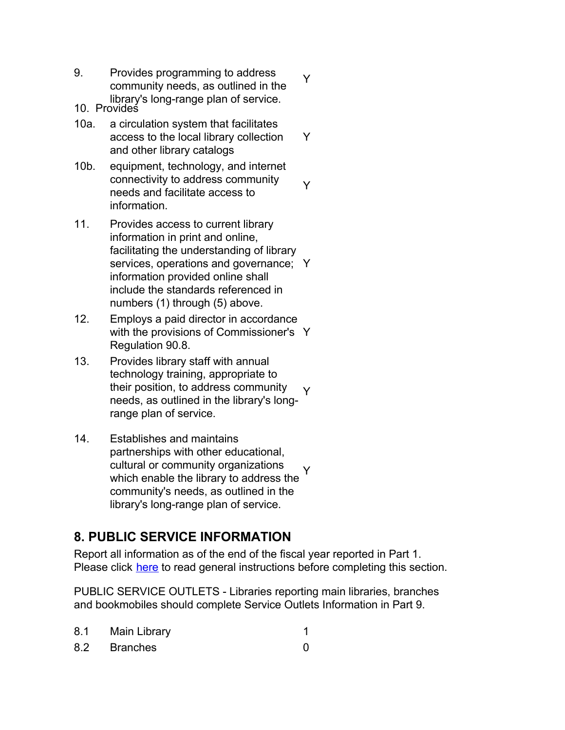9. Provides programming to address community needs, as outlined in the library's long-range plan of service.

Y

Y

Y

- 10. Provides
- 10a. a circulation system that facilitates access to the local library collection and other library catalogs
- 10b. equipment, technology, and internet connectivity to address community needs and facilitate access to information.
- 11. Provides access to current library information in print and online, facilitating the understanding of library services, operations and governance; Y information provided online shall include the standards referenced in numbers (1) through (5) above.
- 12. Employs a paid director in accordance with the provisions of Commissioner's Y Regulation 90.8.
- 13. Provides library staff with annual technology training, appropriate to their position, to address community needs, as outlined in the library's longrange plan of service. Y
- 14. Establishes and maintains partnerships with other educational, cultural or community organizations which enable the library to address the community's needs, as outlined in the library's long-range plan of service. Y

# **8. PUBLIC SERVICE INFORMATION**

Report all information as of the end of the fiscal year reported in Part 1. Please click here to read general instructions before completing this section.

PUBLIC SERVICE OUTLETS - Libraries reporting main libraries, branches and bookmobiles should complete Service Outlets Information in Part 9.

| 8.1 Main Library |  |
|------------------|--|
| 8.2 Branches     |  |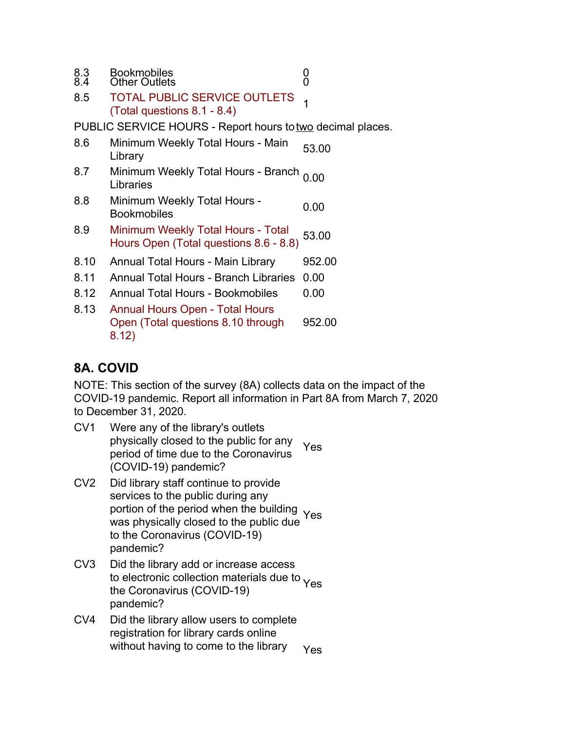| 8.3 | <b>Bookmobiles</b>   |  |
|-----|----------------------|--|
| 8.4 | <b>Other Outlets</b> |  |

8.5 TOTAL PUBLIC SERVICE OUTLETS TOTAL PUBLIC SERVICE OUTLETS 1

PUBLIC SERVICE HOURS - Report hours to two decimal places.

| 8.6  | Minimum Weekly Total Hours - Main<br>Library                                          | 53.00  |
|------|---------------------------------------------------------------------------------------|--------|
| 8.7  | Minimum Weekly Total Hours - Branch<br>Libraries                                      | 0.00   |
| 8.8  | Minimum Weekly Total Hours -<br><b>Bookmobiles</b>                                    | 0.00   |
| 8.9  | Minimum Weekly Total Hours - Total<br>Hours Open (Total questions 8.6 - 8.8)          | 53.00  |
| 8.10 | Annual Total Hours - Main Library                                                     | 952.00 |
| 8.11 | <b>Annual Total Hours - Branch Libraries</b>                                          | 0.00   |
| 8.12 | <b>Annual Total Hours - Bookmobiles</b>                                               | 0.00   |
| 8.13 | <b>Annual Hours Open - Total Hours</b><br>Open (Total questions 8.10 through<br>8.12) | 952.00 |

# **8A. COVID**

NOTE: This section of the survey (8A) collects data on the impact of the COVID-19 pandemic. Report all information in Part 8A from March 7, 2020 to December 31, 2020.

- CV1 Were any of the library's outlets physically closed to the public for any period of time due to the Coronavirus (COVID-19) pandemic? Yes
- CV2 Did library staff continue to provide services to the public during any portion of the period when the building<br>was physically closed to the public due Yes was physically closed to the public due to the Coronavirus (COVID-19) pandemic?
- CV3 Did the library add or increase access to electronic collection materials due to <sub>Yes</sub> the Coronavirus (COVID-19) pandemic?
- CV4 Did the library allow users to complete registration for library cards online without having to come to the library  $Y_{\text{ES}}$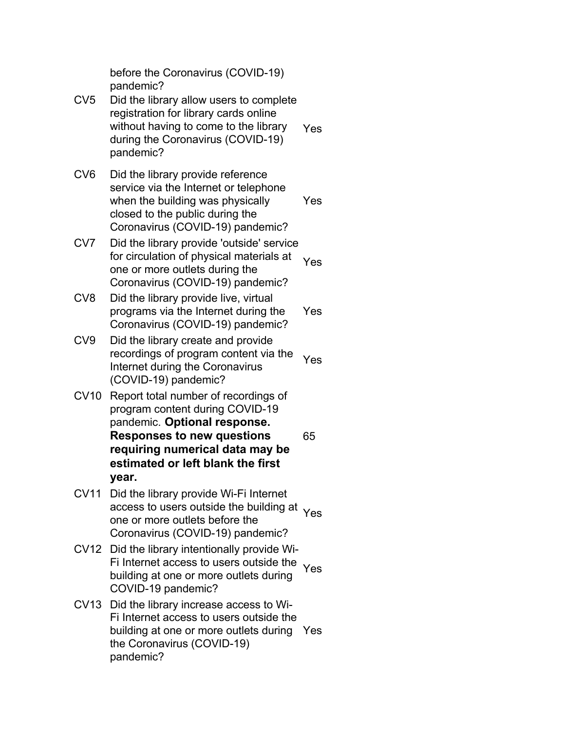before the Coronavirus (COVID-19) pandemic?

- CV5 Did the library allow users to complete registration for library cards online without having to come to the library during the Coronavirus (COVID-19) pandemic? Yes
- CV6 Did the library provide reference service via the Internet or telephone when the building was physically closed to the public during the Coronavirus (COVID-19) pandemic? Yes
- CV7 Did the library provide 'outside' service for circulation of physical materials at one or more outlets during the Coronavirus (COVID-19) pandemic? Yes
- CV8 Did the library provide live, virtual programs via the Internet during the Coronavirus (COVID-19) pandemic? Yes
- CV9 Did the library create and provide recordings of program content via the Internet during the Coronavirus (COVID-19) pandemic? Yes
- CV10 Report total number of recordings of program content during COVID-19 pandemic. **Optional response. Responses to new questions requiring numerical data may be estimated or left blank the first year.** 65
- CV11 Did the library provide Wi-Fi Internet access to users outside the building at Yes one or more outlets before the Coronavirus (COVID-19) pandemic?
- CV12 Did the library intentionally provide Wi-Fi Internet access to users outside the Yes building at one or more outlets during COVID-19 pandemic?
- CV13 Did the library increase access to Wi-Fi Internet access to users outside the building at one or more outlets during Yesthe Coronavirus (COVID-19) pandemic?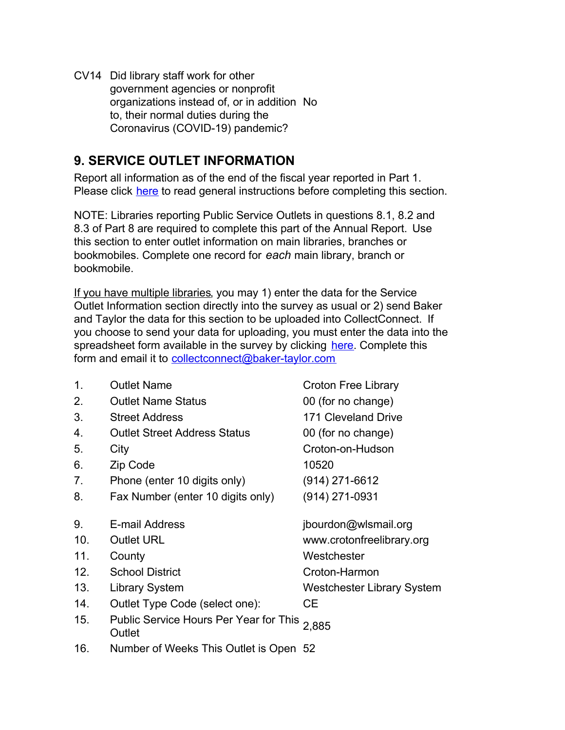CV14 Did library staff work for other government agencies or nonprofit organizations instead of, or in addition No to, their normal duties during the Coronavirus (COVID-19) pandemic?

# **9. SERVICE OUTLET INFORMATION**

Report all information as of the end of the fiscal year reported in Part 1. Please click here to read general instructions before completing this section.

NOTE: Libraries reporting Public Service Outlets in questions 8.1, 8.2 and 8.3 of Part 8 are required to complete this part of the Annual Report. Use this section to enter outlet information on main libraries, branches or bookmobiles. Complete one record for *each* main library, branch or bookmobile.

If you have multiple libraries, you may 1) enter the data for the Service Outlet Information section directly into the survey as usual or 2) send Baker and Taylor the data for this section to be uploaded into CollectConnect. If you choose to send your data for uploading, you must enter the data into the spreadsheet form available in the survey by clicking [here](https://collectconnect.baker-taylor.com/NYOutlet/2020/**OrgID**.xlsx). Complete this form and email it to [collectconnect@baker-taylor.com](mailto:collectconnect@baker-taylor.com)

| 1.              | <b>Outlet Name</b>                                     | <b>Croton Free Library</b>        |
|-----------------|--------------------------------------------------------|-----------------------------------|
| 2.              | <b>Outlet Name Status</b>                              | 00 (for no change)                |
| 3.              | <b>Street Address</b>                                  | 171 Cleveland Drive               |
| 4.              | <b>Outlet Street Address Status</b>                    | 00 (for no change)                |
| 5.              | City                                                   | Croton-on-Hudson                  |
| 6.              | Zip Code                                               | 10520                             |
| 7.              | Phone (enter 10 digits only)                           | (914) 271-6612                    |
| 8.              | Fax Number (enter 10 digits only)                      | $(914)$ 271-0931                  |
| 9.              | E-mail Address                                         | jbourdon@wlsmail.org              |
| 10 <sub>1</sub> | <b>Outlet URL</b>                                      | www.crotonfreelibrary.org         |
| 11.             | County                                                 | Westchester                       |
| 12.             | <b>School District</b>                                 | Croton-Harmon                     |
| 13.             | <b>Library System</b>                                  | <b>Westchester Library System</b> |
| 14.             | Outlet Type Code (select one):                         | CЕ                                |
| 15.             | Public Service Hours Per Year for This 2,885<br>Outlet |                                   |

16. Number of Weeks This Outlet is Open 52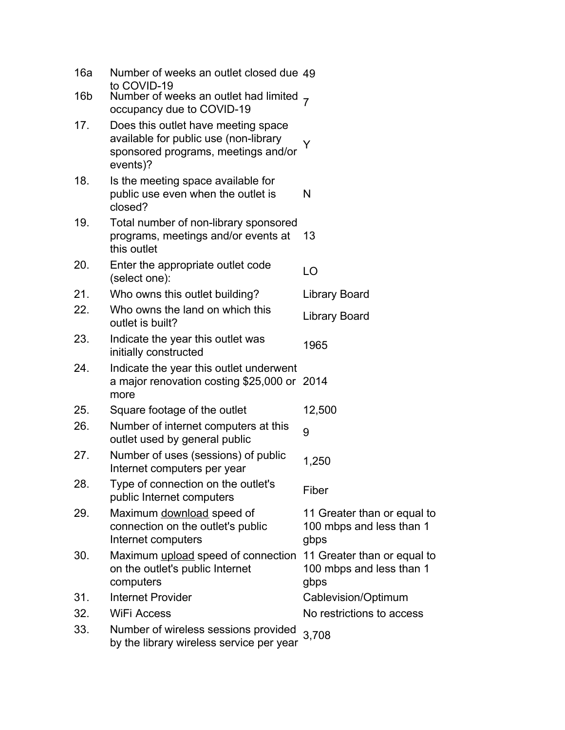| 16a | Number of weeks an outlet closed due 49                                                                                         |                                                                 |
|-----|---------------------------------------------------------------------------------------------------------------------------------|-----------------------------------------------------------------|
| 16b | to COVID-19<br>Number of weeks an outlet had limited $_7$<br>occupancy due to COVID-19                                          |                                                                 |
| 17. | Does this outlet have meeting space<br>available for public use (non-library<br>sponsored programs, meetings and/or<br>events)? | Y                                                               |
| 18. | Is the meeting space available for<br>public use even when the outlet is<br>closed?                                             | N                                                               |
| 19. | Total number of non-library sponsored<br>programs, meetings and/or events at<br>this outlet                                     | 13                                                              |
| 20. | Enter the appropriate outlet code<br>(select one):                                                                              | LO                                                              |
| 21. | Who owns this outlet building?                                                                                                  | Library Board                                                   |
| 22. | Who owns the land on which this<br>outlet is built?                                                                             | <b>Library Board</b>                                            |
| 23. | Indicate the year this outlet was<br>initially constructed                                                                      | 1965                                                            |
| 24. | Indicate the year this outlet underwent<br>a major renovation costing \$25,000 or 2014<br>more                                  |                                                                 |
| 25. | Square footage of the outlet                                                                                                    | 12,500                                                          |
| 26. | Number of internet computers at this<br>outlet used by general public                                                           | 9                                                               |
| 27. | Number of uses (sessions) of public<br>Internet computers per year                                                              | 1,250                                                           |
| 28. | Type of connection on the outlet's<br>public Internet computers                                                                 | Fiber                                                           |
| 29. | Maximum download speed of<br>connection on the outlet's public<br>Internet computers                                            | 11 Greater than or equal to<br>100 mbps and less than 1<br>gbps |
| 30. | Maximum upload speed of connection<br>on the outlet's public Internet<br>computers                                              | 11 Greater than or equal to<br>100 mbps and less than 1<br>gbps |
| 31. | <b>Internet Provider</b>                                                                                                        | Cablevision/Optimum                                             |
| 32. | <b>WiFi Access</b>                                                                                                              | No restrictions to access                                       |
| 33. | Number of wireless sessions provided<br>by the library wireless service per year                                                | 3,708                                                           |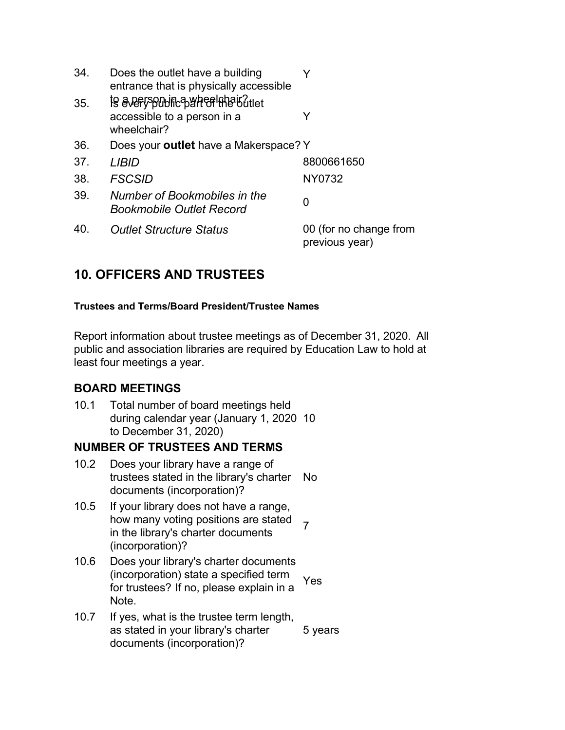| 34. | Does the outlet have a building<br>entrance that is physically accessible                   |                                          |
|-----|---------------------------------------------------------------------------------------------|------------------------------------------|
| 35. | <b>is avery solution synthetic example of</b><br>accessible to a person in a<br>wheelchair? | Y                                        |
| 36. | Does your outlet have a Makerspace? Y                                                       |                                          |
| 37. | LIBID                                                                                       | 8800661650                               |
| 38. | <b>FSCSID</b>                                                                               | NY0732                                   |
| 39. | Number of Bookmobiles in the<br><b>Bookmobile Outlet Record</b>                             | 0                                        |
| 40. | <b>Outlet Structure Status</b>                                                              | 00 (for no change from<br>previous year) |

# **10. OFFICERS AND TRUSTEES**

### **Trustees and Terms/Board President/Trustee Names**

Report information about trustee meetings as of December 31, 2020. All public and association libraries are required by Education Law to hold at least four meetings a year.

## **BOARD MEETINGS**

10.1 Total number of board meetings held during calendar year (January 1, 2020 10 to December 31, 2020)

## **NUMBER OF TRUSTEES AND TERMS**

- 10.2 Does your library have a range of trustees stated in the library's charter documents (incorporation)? No
- 10.5 If your library does not have a range, how many voting positions are stated in the library's charter documents (incorporation)? 7
- 10.6 Does your library's charter documents (incorporation) state a specified term for trustees? If no, please explain in a Note. Yes
- 10.7 If yes, what is the trustee term length, as stated in your library's charter documents (incorporation)? 5 years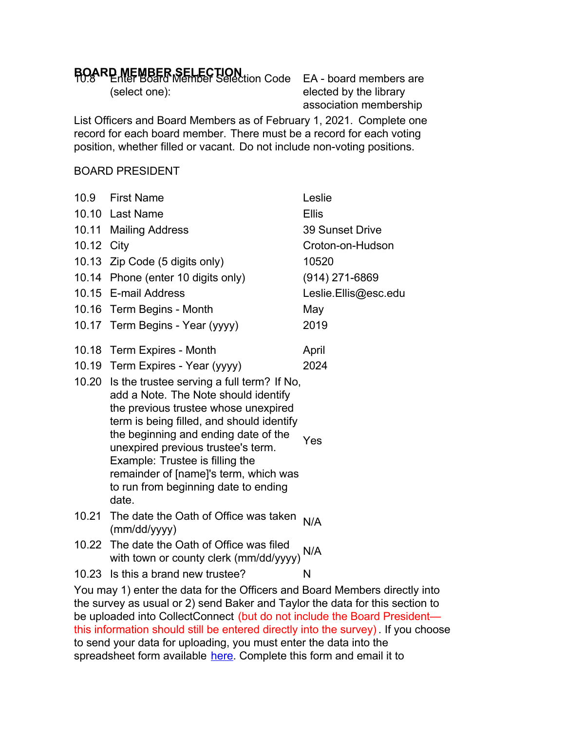# **BOARD MEMBER SELECTION**<br>**FO.8 RD MEMBER Member Selection Code** EA - board members are

(select one):

elected by the library association membership

List Officers and Board Members as of February 1, 2021. Complete one record for each board member. There must be a record for each voting position, whether filled or vacant. Do not include non-voting positions.

#### BOARD PRESIDENT

|            | 10.9 First Name                                                                                                                                                                                                                                                                                                                                                                          | Leslie                 |
|------------|------------------------------------------------------------------------------------------------------------------------------------------------------------------------------------------------------------------------------------------------------------------------------------------------------------------------------------------------------------------------------------------|------------------------|
|            | 10.10 Last Name                                                                                                                                                                                                                                                                                                                                                                          | <b>Ellis</b>           |
|            | 10.11 Mailing Address                                                                                                                                                                                                                                                                                                                                                                    | <b>39 Sunset Drive</b> |
| 10.12 City |                                                                                                                                                                                                                                                                                                                                                                                          | Croton-on-Hudson       |
|            | 10.13 Zip Code (5 digits only)                                                                                                                                                                                                                                                                                                                                                           | 10520                  |
|            | 10.14 Phone (enter 10 digits only)                                                                                                                                                                                                                                                                                                                                                       | $(914)$ 271-6869       |
|            | 10.15 E-mail Address                                                                                                                                                                                                                                                                                                                                                                     | Leslie.Ellis@esc.edu   |
|            | 10.16 Term Begins - Month                                                                                                                                                                                                                                                                                                                                                                | May                    |
|            | 10.17 Term Begins - Year (yyyy)                                                                                                                                                                                                                                                                                                                                                          | 2019                   |
|            | 10.18 Term Expires - Month                                                                                                                                                                                                                                                                                                                                                               | April                  |
|            | 10.19 Term Expires - Year (yyyy)                                                                                                                                                                                                                                                                                                                                                         | 2024                   |
|            | 10.20 Is the trustee serving a full term? If No,<br>add a Note. The Note should identify<br>the previous trustee whose unexpired<br>term is being filled, and should identify<br>the beginning and ending date of the<br>unexpired previous trustee's term.<br>Example: Trustee is filling the<br>remainder of [name]'s term, which was<br>to run from beginning date to ending<br>date. | Yes                    |
| 10.21      | The date the Oath of Office was taken<br>(mm/dd/yyyy)                                                                                                                                                                                                                                                                                                                                    | N/A                    |
|            | 10.22 The date the Oath of Office was filed<br>with town or county clerk (mm/dd/yyyy)                                                                                                                                                                                                                                                                                                    | N/A                    |
|            | 10.23 Is this a brand new trustee?                                                                                                                                                                                                                                                                                                                                                       | N                      |
|            | $\mathcal{A}$ and $\mathcal{A}$ and $\mathcal{A}$ and $\mathcal{A}$ and $\mathcal{A}$ and $\mathcal{A}$ and $\mathcal{A}$ and $\mathcal{A}$ and $\mathcal{A}$ and $\mathcal{A}$ and $\mathcal{A}$ and $\mathcal{A}$ and $\mathcal{A}$ and $\mathcal{A}$ and $\mathcal{A}$ and $\mathcal{A}$ and $\mathcal{A}$ and                                                                        | 1 m 1 M 1 1            |

You may 1) enter the data for the Officers and Board Members directly into the survey as usual or 2) send Baker and Taylor the data for this section to be uploaded into CollectConnect (but do not include the Board President this information should still be entered directly into the survey) . If you choose to send your data for uploading, you must enter the data into the spreadsheet form available [here](https://collectconnect.baker-taylor.com/Officers/2020/**OrgID**.xlsx). Complete this form and email it to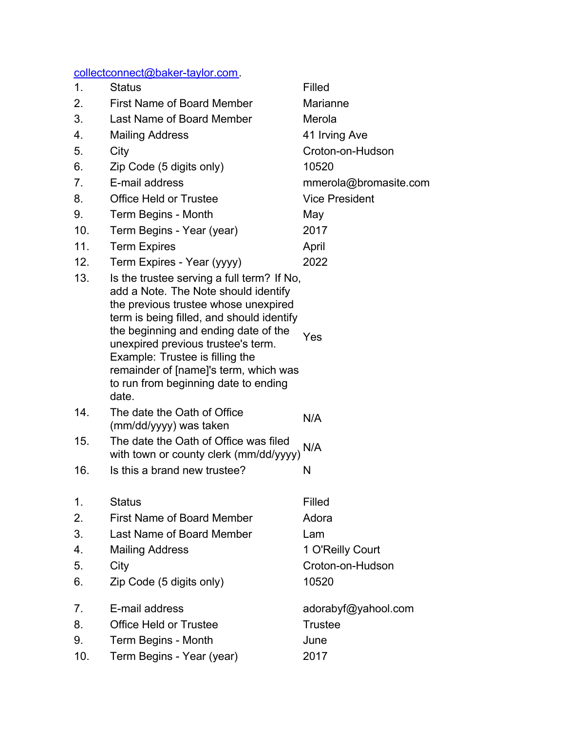[collectconnect@baker-taylor.com](mailto:collectconnect@baker-taylor.com).

| 1.  | <b>Status</b>                                                                                                                                                                                                                                                                                                                                                                      | Filled                |
|-----|------------------------------------------------------------------------------------------------------------------------------------------------------------------------------------------------------------------------------------------------------------------------------------------------------------------------------------------------------------------------------------|-----------------------|
| 2.  | <b>First Name of Board Member</b>                                                                                                                                                                                                                                                                                                                                                  | Marianne              |
| 3.  | Last Name of Board Member                                                                                                                                                                                                                                                                                                                                                          | Merola                |
| 4.  | <b>Mailing Address</b>                                                                                                                                                                                                                                                                                                                                                             | 41 Irving Ave         |
| 5.  | City                                                                                                                                                                                                                                                                                                                                                                               | Croton-on-Hudson      |
| 6.  | Zip Code (5 digits only)                                                                                                                                                                                                                                                                                                                                                           | 10520                 |
| 7.  | E-mail address                                                                                                                                                                                                                                                                                                                                                                     | mmerola@bromasite.com |
| 8.  | Office Held or Trustee                                                                                                                                                                                                                                                                                                                                                             | <b>Vice President</b> |
| 9.  | Term Begins - Month                                                                                                                                                                                                                                                                                                                                                                | May                   |
| 10. | Term Begins - Year (year)                                                                                                                                                                                                                                                                                                                                                          | 2017                  |
| 11. | <b>Term Expires</b>                                                                                                                                                                                                                                                                                                                                                                | April                 |
| 12. | Term Expires - Year (yyyy)                                                                                                                                                                                                                                                                                                                                                         | 2022                  |
| 13. | Is the trustee serving a full term? If No,<br>add a Note. The Note should identify<br>the previous trustee whose unexpired<br>term is being filled, and should identify<br>the beginning and ending date of the<br>unexpired previous trustee's term.<br>Example: Trustee is filling the<br>remainder of [name]'s term, which was<br>to run from beginning date to ending<br>date. | Yes                   |
| 14. | The date the Oath of Office<br>(mm/dd/yyyy) was taken                                                                                                                                                                                                                                                                                                                              | N/A                   |
| 15. | The date the Oath of Office was filed<br>with town or county clerk (mm/dd/yyyy)                                                                                                                                                                                                                                                                                                    | N/A                   |
| 16. | Is this a brand new trustee?                                                                                                                                                                                                                                                                                                                                                       | N                     |
| 1.  | <b>Status</b>                                                                                                                                                                                                                                                                                                                                                                      | Filled                |
| 2.  | <b>First Name of Board Member</b>                                                                                                                                                                                                                                                                                                                                                  | Adora                 |
| 3.  | Last Name of Board Member                                                                                                                                                                                                                                                                                                                                                          | Lam                   |
| 4.  | <b>Mailing Address</b>                                                                                                                                                                                                                                                                                                                                                             | 1 O'Reilly Court      |
| 5.  | City                                                                                                                                                                                                                                                                                                                                                                               | Croton-on-Hudson      |
| 6.  | Zip Code (5 digits only)                                                                                                                                                                                                                                                                                                                                                           | 10520                 |
| 7.  | E-mail address                                                                                                                                                                                                                                                                                                                                                                     | adorabyf@yahool.com   |
| 8.  | <b>Office Held or Trustee</b>                                                                                                                                                                                                                                                                                                                                                      | <b>Trustee</b>        |
| 9.  | Term Begins - Month                                                                                                                                                                                                                                                                                                                                                                | June                  |
| 10. | Term Begins - Year (year)                                                                                                                                                                                                                                                                                                                                                          | 2017                  |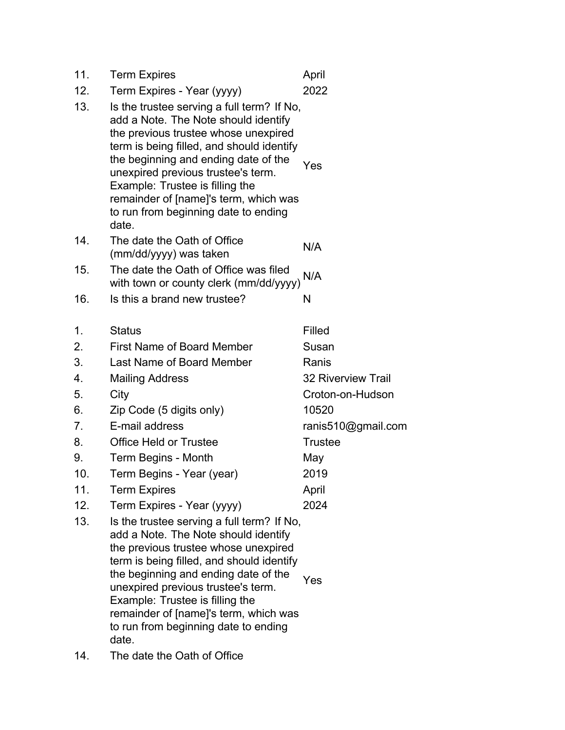| 11. | <b>Term Expires</b>                                                                                                                                                                                                                                                                                                                                                                | April                     |
|-----|------------------------------------------------------------------------------------------------------------------------------------------------------------------------------------------------------------------------------------------------------------------------------------------------------------------------------------------------------------------------------------|---------------------------|
| 12. | Term Expires - Year (yyyy)                                                                                                                                                                                                                                                                                                                                                         | 2022                      |
| 13. | Is the trustee serving a full term? If No,<br>add a Note. The Note should identify<br>the previous trustee whose unexpired<br>term is being filled, and should identify<br>the beginning and ending date of the<br>unexpired previous trustee's term.<br>Example: Trustee is filling the<br>remainder of [name]'s term, which was<br>to run from beginning date to ending<br>date. | Yes                       |
| 14. | The date the Oath of Office<br>(mm/dd/yyyy) was taken                                                                                                                                                                                                                                                                                                                              | N/A                       |
| 15. | The date the Oath of Office was filed<br>with town or county clerk (mm/dd/yyyy)                                                                                                                                                                                                                                                                                                    | N/A                       |
| 16. | Is this a brand new trustee?                                                                                                                                                                                                                                                                                                                                                       | N                         |
| 1.  | <b>Status</b>                                                                                                                                                                                                                                                                                                                                                                      | Filled                    |
| 2.  | <b>First Name of Board Member</b>                                                                                                                                                                                                                                                                                                                                                  | Susan                     |
| 3.  | Last Name of Board Member                                                                                                                                                                                                                                                                                                                                                          | Ranis                     |
| 4.  | <b>Mailing Address</b>                                                                                                                                                                                                                                                                                                                                                             | <b>32 Riverview Trail</b> |
| 5.  | City                                                                                                                                                                                                                                                                                                                                                                               | Croton-on-Hudson          |
| 6.  | Zip Code (5 digits only)                                                                                                                                                                                                                                                                                                                                                           | 10520                     |
| 7.  | E-mail address                                                                                                                                                                                                                                                                                                                                                                     | ranis510@gmail.com        |
| 8.  | <b>Office Held or Trustee</b>                                                                                                                                                                                                                                                                                                                                                      | <b>Trustee</b>            |
| 9.  | Term Begins - Month                                                                                                                                                                                                                                                                                                                                                                | May                       |
| 10. | Term Begins - Year (year)                                                                                                                                                                                                                                                                                                                                                          | 2019                      |
| 11. | <b>Term Expires</b>                                                                                                                                                                                                                                                                                                                                                                | April                     |
| 12. | Term Expires - Year (yyyy)                                                                                                                                                                                                                                                                                                                                                         | 2024                      |
| 13. | Is the trustee serving a full term? If No,<br>add a Note. The Note should identify<br>the previous trustee whose unexpired<br>term is being filled, and should identify<br>the beginning and ending date of the<br>unexpired previous trustee's term.<br>Example: Trustee is filling the<br>remainder of [name]'s term, which was<br>to run from beginning date to ending<br>date. | Yes                       |

14. The date the Oath of Office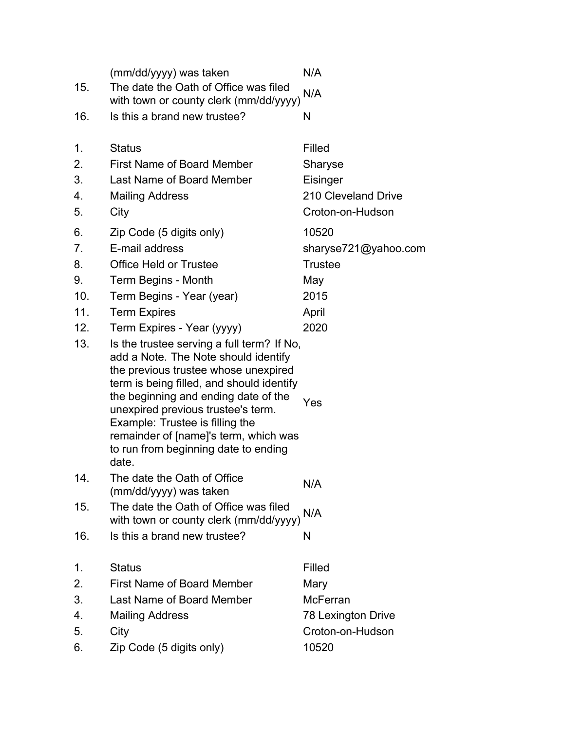| 15. | (mm/dd/yyyy) was taken<br>The date the Oath of Office was filed<br>with town or county clerk (mm/dd/yyyy)                                                                                                                                                                                                                                                                          | N/A<br>N/A           |
|-----|------------------------------------------------------------------------------------------------------------------------------------------------------------------------------------------------------------------------------------------------------------------------------------------------------------------------------------------------------------------------------------|----------------------|
| 16. | Is this a brand new trustee?                                                                                                                                                                                                                                                                                                                                                       | N                    |
| 1.  | <b>Status</b>                                                                                                                                                                                                                                                                                                                                                                      | Filled               |
| 2.  | <b>First Name of Board Member</b>                                                                                                                                                                                                                                                                                                                                                  | Sharyse              |
| 3.  | Last Name of Board Member                                                                                                                                                                                                                                                                                                                                                          | Eisinger             |
| 4.  | <b>Mailing Address</b>                                                                                                                                                                                                                                                                                                                                                             | 210 Cleveland Drive  |
| 5.  | City                                                                                                                                                                                                                                                                                                                                                                               | Croton-on-Hudson     |
| 6.  | Zip Code (5 digits only)                                                                                                                                                                                                                                                                                                                                                           | 10520                |
| 7.  | E-mail address                                                                                                                                                                                                                                                                                                                                                                     | sharyse721@yahoo.com |
| 8.  | <b>Office Held or Trustee</b>                                                                                                                                                                                                                                                                                                                                                      | <b>Trustee</b>       |
| 9.  | Term Begins - Month                                                                                                                                                                                                                                                                                                                                                                | May                  |
| 10. | Term Begins - Year (year)                                                                                                                                                                                                                                                                                                                                                          | 2015                 |
| 11. | <b>Term Expires</b>                                                                                                                                                                                                                                                                                                                                                                | April                |
| 12. | Term Expires - Year (yyyy)                                                                                                                                                                                                                                                                                                                                                         | 2020                 |
| 13. | Is the trustee serving a full term? If No,<br>add a Note. The Note should identify<br>the previous trustee whose unexpired<br>term is being filled, and should identify<br>the beginning and ending date of the<br>unexpired previous trustee's term.<br>Example: Trustee is filling the<br>remainder of [name]'s term, which was<br>to run from beginning date to ending<br>date. | Yes                  |
| 14. | The date the Oath of Office<br>(mm/dd/yyyy) was taken                                                                                                                                                                                                                                                                                                                              | N/A                  |
| 15. | The date the Oath of Office was filed<br>with town or county clerk (mm/dd/yyyy)                                                                                                                                                                                                                                                                                                    | N/A                  |
| 16. | Is this a brand new trustee?                                                                                                                                                                                                                                                                                                                                                       | N                    |
| 1.  | <b>Status</b>                                                                                                                                                                                                                                                                                                                                                                      | Filled               |
| 2.  | <b>First Name of Board Member</b>                                                                                                                                                                                                                                                                                                                                                  | Mary                 |
| 3.  | Last Name of Board Member                                                                                                                                                                                                                                                                                                                                                          | <b>McFerran</b>      |
| 4.  | <b>Mailing Address</b>                                                                                                                                                                                                                                                                                                                                                             | 78 Lexington Drive   |
| 5.  | City                                                                                                                                                                                                                                                                                                                                                                               | Croton-on-Hudson     |
| 6.  | Zip Code (5 digits only)                                                                                                                                                                                                                                                                                                                                                           | 10520                |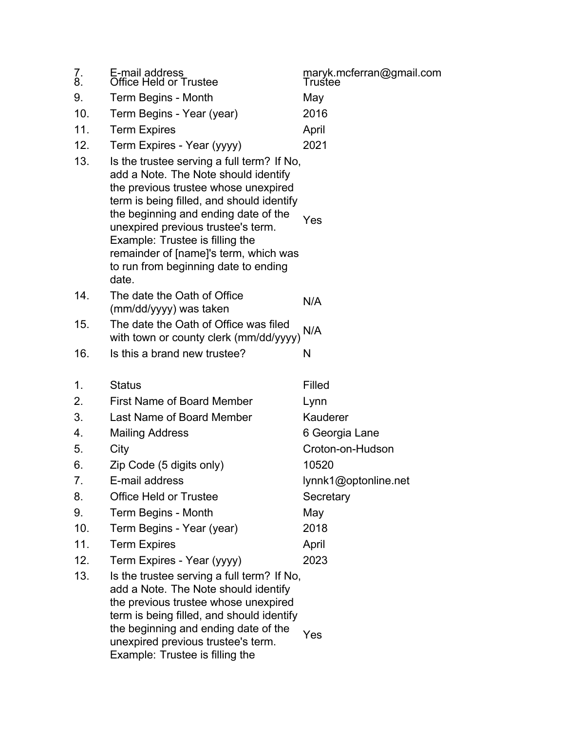| 7.<br>8. | E-mail address<br>Office Held or Trustee                                                                                                                                                                                                                                                                                                                                           | maryk.mcferran@gmail.com<br>Trustee |
|----------|------------------------------------------------------------------------------------------------------------------------------------------------------------------------------------------------------------------------------------------------------------------------------------------------------------------------------------------------------------------------------------|-------------------------------------|
| 9.       | Term Begins - Month                                                                                                                                                                                                                                                                                                                                                                | May                                 |
| 10.      | Term Begins - Year (year)                                                                                                                                                                                                                                                                                                                                                          | 2016                                |
| 11.      | <b>Term Expires</b>                                                                                                                                                                                                                                                                                                                                                                | April                               |
| 12.      | Term Expires - Year (yyyy)                                                                                                                                                                                                                                                                                                                                                         | 2021                                |
| 13.      | Is the trustee serving a full term? If No,<br>add a Note. The Note should identify<br>the previous trustee whose unexpired<br>term is being filled, and should identify<br>the beginning and ending date of the<br>unexpired previous trustee's term.<br>Example: Trustee is filling the<br>remainder of [name]'s term, which was<br>to run from beginning date to ending<br>date. | Yes                                 |
| 14.      | The date the Oath of Office<br>(mm/dd/yyyy) was taken                                                                                                                                                                                                                                                                                                                              | N/A                                 |
| 15.      | The date the Oath of Office was filed<br>with town or county clerk (mm/dd/yyyy)                                                                                                                                                                                                                                                                                                    | N/A                                 |
| 16.      | Is this a brand new trustee?                                                                                                                                                                                                                                                                                                                                                       | N                                   |
| 1.       | <b>Status</b>                                                                                                                                                                                                                                                                                                                                                                      | Filled                              |
| 2.       | <b>First Name of Board Member</b>                                                                                                                                                                                                                                                                                                                                                  | Lynn                                |
| 3.       | Last Name of Board Member                                                                                                                                                                                                                                                                                                                                                          | Kauderer                            |
| 4.       | <b>Mailing Address</b>                                                                                                                                                                                                                                                                                                                                                             | 6 Georgia Lane                      |
| 5.       | City                                                                                                                                                                                                                                                                                                                                                                               | Croton-on-Hudson                    |
|          |                                                                                                                                                                                                                                                                                                                                                                                    |                                     |
| 6.       | Zip Code (5 digits only)                                                                                                                                                                                                                                                                                                                                                           | 10520                               |
| 7.       | E-mail address                                                                                                                                                                                                                                                                                                                                                                     | lynnk1@optonline.net                |
| 8.       | <b>Office Held or Trustee</b>                                                                                                                                                                                                                                                                                                                                                      | Secretary                           |
| 9.       | Term Begins - Month                                                                                                                                                                                                                                                                                                                                                                | May                                 |
| 10.      | Term Begins - Year (year)                                                                                                                                                                                                                                                                                                                                                          | 2018                                |
| 11.      | <b>Term Expires</b>                                                                                                                                                                                                                                                                                                                                                                | April                               |
| 12.      | Term Expires - Year (yyyy)                                                                                                                                                                                                                                                                                                                                                         | 2023                                |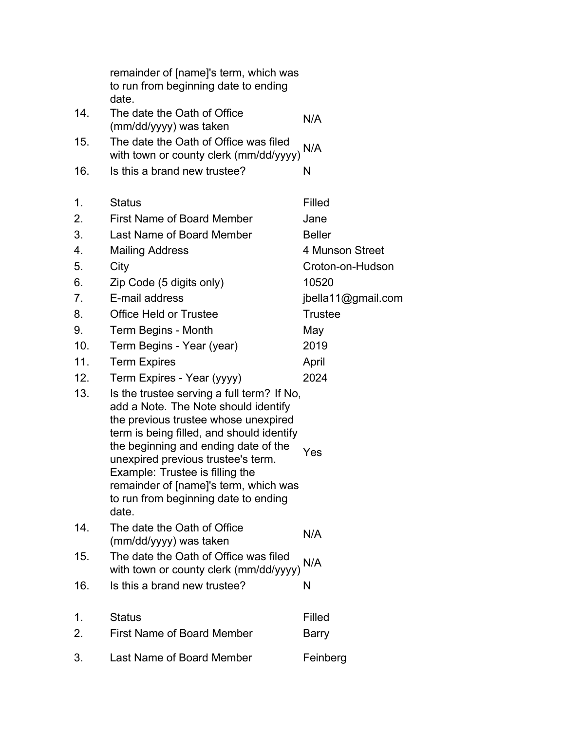|                  | remainder of [name]'s term, which was<br>to run from beginning date to ending<br>date.                                                                                                                                                                                                                                                                                             |                    |
|------------------|------------------------------------------------------------------------------------------------------------------------------------------------------------------------------------------------------------------------------------------------------------------------------------------------------------------------------------------------------------------------------------|--------------------|
| 14.              | The date the Oath of Office<br>(mm/dd/yyyy) was taken                                                                                                                                                                                                                                                                                                                              | N/A                |
| 15.              | The date the Oath of Office was filed<br>with town or county clerk (mm/dd/yyyy)                                                                                                                                                                                                                                                                                                    | N/A                |
| 16.              | Is this a brand new trustee?                                                                                                                                                                                                                                                                                                                                                       | N                  |
| 1.               | <b>Status</b>                                                                                                                                                                                                                                                                                                                                                                      | Filled             |
| 2.               | <b>First Name of Board Member</b>                                                                                                                                                                                                                                                                                                                                                  | Jane               |
| 3.               | Last Name of Board Member                                                                                                                                                                                                                                                                                                                                                          | <b>Beller</b>      |
| $\overline{4}$ . | <b>Mailing Address</b>                                                                                                                                                                                                                                                                                                                                                             | 4 Munson Street    |
| 5.               | City                                                                                                                                                                                                                                                                                                                                                                               | Croton-on-Hudson   |
| 6.               | Zip Code (5 digits only)                                                                                                                                                                                                                                                                                                                                                           | 10520              |
| 7.               | E-mail address                                                                                                                                                                                                                                                                                                                                                                     | jbella11@gmail.com |
| 8.               | <b>Office Held or Trustee</b>                                                                                                                                                                                                                                                                                                                                                      | <b>Trustee</b>     |
| 9.               | Term Begins - Month                                                                                                                                                                                                                                                                                                                                                                | May                |
| 10.              | Term Begins - Year (year)                                                                                                                                                                                                                                                                                                                                                          | 2019               |
| 11.              | <b>Term Expires</b>                                                                                                                                                                                                                                                                                                                                                                | April              |
| 12.              | Term Expires - Year (yyyy)                                                                                                                                                                                                                                                                                                                                                         | 2024               |
| 13.              | Is the trustee serving a full term? If No,<br>add a Note. The Note should identify<br>the previous trustee whose unexpired<br>term is being filled, and should identify<br>the beginning and ending date of the<br>unexpired previous trustee's term.<br>Example: Trustee is filling the<br>remainder of [name]'s term, which was<br>to run from beginning date to ending<br>date. | Yes                |
| 14.              | The date the Oath of Office<br>(mm/dd/yyyy) was taken                                                                                                                                                                                                                                                                                                                              | N/A                |
| 15.              | The date the Oath of Office was filed<br>with town or county clerk (mm/dd/yyyy)                                                                                                                                                                                                                                                                                                    | N/A                |
| 16.              | Is this a brand new trustee?                                                                                                                                                                                                                                                                                                                                                       | N                  |
| 1.<br>2.         | <b>Status</b><br><b>First Name of Board Member</b>                                                                                                                                                                                                                                                                                                                                 | Filled             |
|                  |                                                                                                                                                                                                                                                                                                                                                                                    | Barry              |
| 3.               | Last Name of Board Member                                                                                                                                                                                                                                                                                                                                                          | Feinberg           |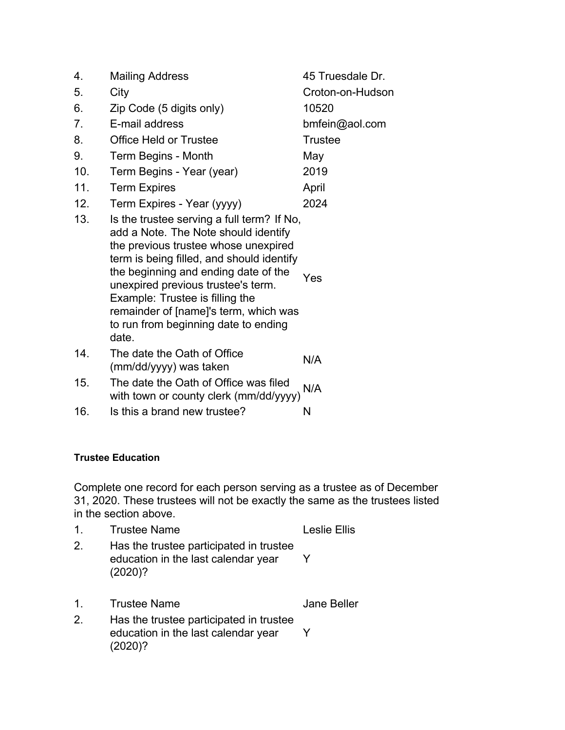| 4.             | <b>Mailing Address</b>                                                                                                                                                                                                                                                                                                                                                             | 45 Truesdale Dr. |
|----------------|------------------------------------------------------------------------------------------------------------------------------------------------------------------------------------------------------------------------------------------------------------------------------------------------------------------------------------------------------------------------------------|------------------|
| 5.             | City                                                                                                                                                                                                                                                                                                                                                                               | Croton-on-Hudson |
| 6.             | Zip Code (5 digits only)                                                                                                                                                                                                                                                                                                                                                           | 10520            |
| 7 <sub>1</sub> | E-mail address                                                                                                                                                                                                                                                                                                                                                                     | bmfein@aol.com   |
| 8.             | <b>Office Held or Trustee</b>                                                                                                                                                                                                                                                                                                                                                      | <b>Trustee</b>   |
| 9.             | Term Begins - Month                                                                                                                                                                                                                                                                                                                                                                | May              |
| 10.            | Term Begins - Year (year)                                                                                                                                                                                                                                                                                                                                                          | 2019             |
| 11.            | <b>Term Expires</b>                                                                                                                                                                                                                                                                                                                                                                | April            |
| 12.            | Term Expires - Year (yyyy)                                                                                                                                                                                                                                                                                                                                                         | 2024             |
| 13.            | Is the trustee serving a full term? If No,<br>add a Note. The Note should identify<br>the previous trustee whose unexpired<br>term is being filled, and should identify<br>the beginning and ending date of the<br>unexpired previous trustee's term.<br>Example: Trustee is filling the<br>remainder of [name]'s term, which was<br>to run from beginning date to ending<br>date. | Yes              |
| 14.            | The date the Oath of Office<br>(mm/dd/yyyy) was taken                                                                                                                                                                                                                                                                                                                              | N/A              |
| 15.            | The date the Oath of Office was filed<br>with town or county clerk (mm/dd/yyyy)                                                                                                                                                                                                                                                                                                    | N/A              |
| 16.            | Is this a brand new trustee?                                                                                                                                                                                                                                                                                                                                                       | N                |

#### **Trustee Education**

Complete one record for each person serving as a trustee as of December 31, 2020. These trustees will not be exactly the same as the trustees listed in the section above.

|         | <b>Trustee Name</b>                                                                       | <b>Leslie Ellis</b> |
|---------|-------------------------------------------------------------------------------------------|---------------------|
| 2.      | Has the trustee participated in trustee<br>education in the last calendar year<br>(2020)? |                     |
| $1_{-}$ | <b>Trustee Name</b>                                                                       | <b>Jane Beller</b>  |
|         |                                                                                           |                     |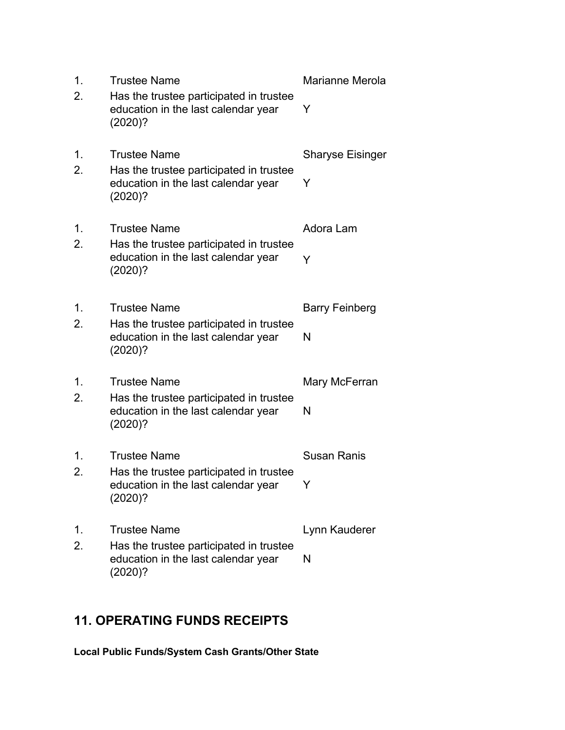| 1. | <b>Trustee Name</b>                                                                       | Marianne Merola         |
|----|-------------------------------------------------------------------------------------------|-------------------------|
| 2. | Has the trustee participated in trustee<br>education in the last calendar year<br>(2020)? | Y                       |
| 1. | <b>Trustee Name</b>                                                                       | <b>Sharyse Eisinger</b> |
| 2. | Has the trustee participated in trustee<br>education in the last calendar year<br>(2020)? | Y                       |
| 1. | <b>Trustee Name</b>                                                                       | Adora Lam               |
| 2. | Has the trustee participated in trustee<br>education in the last calendar year<br>(2020)? | Y                       |
| 1. | <b>Trustee Name</b>                                                                       | <b>Barry Feinberg</b>   |
| 2. | Has the trustee participated in trustee<br>education in the last calendar year<br>(2020)? | N                       |
| 1. | <b>Trustee Name</b>                                                                       | Mary McFerran           |
| 2. | Has the trustee participated in trustee<br>education in the last calendar year<br>(2020)? | N                       |
| 1. | <b>Trustee Name</b>                                                                       | <b>Susan Ranis</b>      |
| 2. | Has the trustee participated in trustee<br>education in the last calendar year<br>(2020)? | Y.                      |
| 1. | <b>Trustee Name</b>                                                                       | Lynn Kauderer           |
| 2. | Has the trustee participated in trustee<br>education in the last calendar year<br>(2020)? | N                       |

# **11. OPERATING FUNDS RECEIPTS**

**Local Public Funds/System Cash Grants/Other State**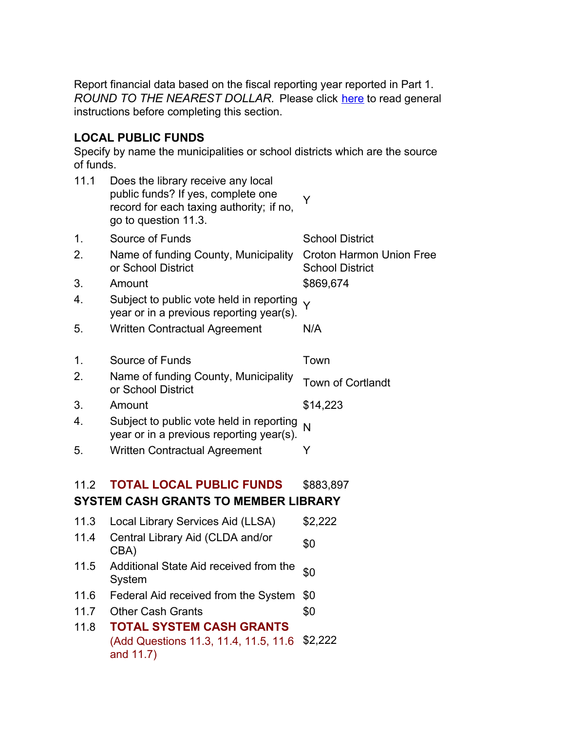Report financial data based on the fiscal reporting year reported in Part 1. *ROUND TO THE NEAREST DOLLAR.* Please click here to read general instructions before completing this section.

### **LOCAL PUBLIC FUNDS**

Specify by name the municipalities or school districts which are the source of funds.

|    | 11.1 | Does the library receive any local<br>public funds? If yes, complete one<br>record for each taxing authority; if no,<br>go to question 11.3. | Y                                                         |
|----|------|----------------------------------------------------------------------------------------------------------------------------------------------|-----------------------------------------------------------|
| 1. |      | Source of Funds                                                                                                                              | <b>School District</b>                                    |
| 2. |      | Name of funding County, Municipality<br>or School District                                                                                   | <b>Croton Harmon Union Free</b><br><b>School District</b> |
| 3. |      | Amount                                                                                                                                       | \$869,674                                                 |
| 4. |      | Subject to public vote held in reporting<br>year or in a previous reporting year(s).                                                         | Y                                                         |
| 5. |      | <b>Written Contractual Agreement</b>                                                                                                         | N/A                                                       |
|    |      |                                                                                                                                              |                                                           |
| 1. |      | Source of Funds                                                                                                                              | Town                                                      |
| 2. |      | Name of funding County, Municipality<br>or School District                                                                                   | <b>Town of Cortlandt</b>                                  |
| 3. |      | Amount                                                                                                                                       | \$14,223                                                  |
| 4. |      | Subject to public vote held in reporting<br>year or in a previous reporting year(s).                                                         | N                                                         |
| 5. |      | <b>Written Contractual Agreement</b>                                                                                                         | Y                                                         |
|    |      |                                                                                                                                              |                                                           |
|    | 11.2 | <b>TOTAL LOCAL PUBLIC FUNDS</b>                                                                                                              | \$883,897                                                 |
|    |      | <b>SYSTEM CASH GRANTS TO MEMBER LIBRARY</b>                                                                                                  |                                                           |
|    | 11.3 | Local Library Services Aid (LLSA)                                                                                                            | \$2,222                                                   |
|    | 11.4 | Central Library Aid (CLDA and/or<br>CBA)                                                                                                     | \$0                                                       |
|    | 11.5 | Additional State Aid received from the<br>System                                                                                             | \$0                                                       |
|    | 11.6 | Federal Aid received from the System                                                                                                         | \$0                                                       |
|    | 11.7 | <b>Other Cash Grants</b>                                                                                                                     | \$0                                                       |
|    | 11.8 | <b>TOTAL SYSTEM CASH GRANTS</b>                                                                                                              |                                                           |
|    |      | (Add Questions 11.3, 11.4, 11.5, 11.6<br>and 11.7)                                                                                           | \$2,222                                                   |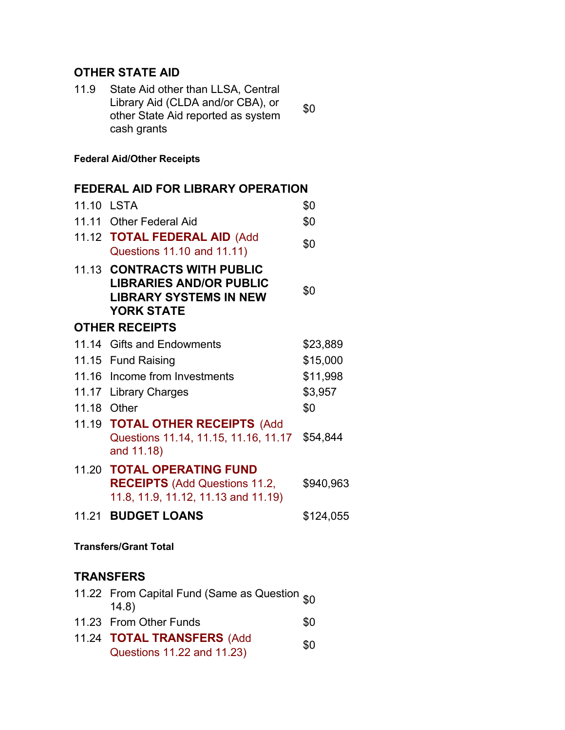### **OTHER STATE AID**

| 11.9 | State Aid other than LLSA, Central |     |
|------|------------------------------------|-----|
|      | Library Aid (CLDA and/or CBA), or  | \$0 |
|      | other State Aid reported as system |     |
|      | cash grants                        |     |

#### **Federal Aid/Other Receipts**

# **FEDERAL AID FOR LIBRARY OPERATION** 11.10 LSTA \$0 11.11 Other Federal Aid **\$0** 11.12 **TOTAL FEDERAL AID** (Add Questions 11.10 and 11.11) \$0 11.13 **CONTRACTS WITH PUBLIC LIBRARIES AND/OR PUBLIC LIBRARY SYSTEMS IN NEW YORK STATE** \$0 **OTHER RECEIPTS** 11.14 Gifts and Endowments \$23,889 11.15 Fund Raising **\$15,000** 11.16 Income from Investments \$11,998 11.17 Library Charges \$3,957 11.18 Other \$0 11.19 **TOTAL OTHER RECEIPTS** (Add Questions 11.14, 11.15, 11.16, 11.17 and 11.18) \$54,844 11.20 **TOTAL OPERATING FUND RECEIPTS** (Add Questions 11.2, 11.8, 11.9, 11.12, 11.13 and 11.19) \$940,963 11.21 **BUDGET LOANS** \$124,055

#### **Transfers/Grant Total**

## **TRANSFERS**

| 11.22 From Capital Fund (Same as Question s0<br>(14.8) |     |
|--------------------------------------------------------|-----|
| 11.23 From Other Funds                                 | \$0 |
| 11.24 <b>TOTAL TRANSFERS</b> (Add                      | ሮስ  |

Questions 11.22 and 11.23)  $$0$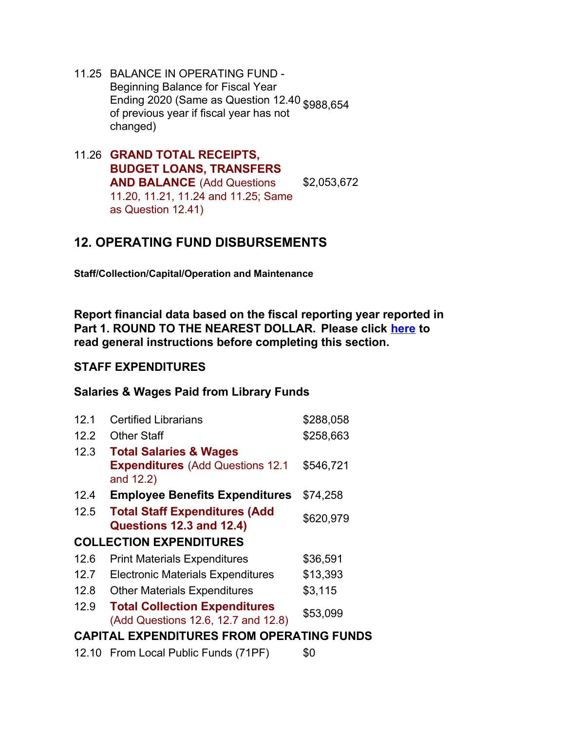- 11.25 BALANCE IN OPERATING FUND Beginning Balance for Fiscal Year Ending 2020 (Same as Question 12.40 \$988,654 of previous year if fiscal year has not changed)
- 11.26 **GRAND TOTAL RECEIPTS, BUDGET LOANS, TRANSFERS AND BALANCE** (Add Questions 11.20, 11.21, 11.24 and 11.25; Same as Question 12.41) \$2,053,672

# **12. OPERATING FUND DISBURSEMENTS**

**Staff/Collection/Capital/Operation and Maintenance**

**Report financial data based on the fiscal reporting year reported in Part 1. ROUND TO THE NEAREST DOLLAR. Please click here to read general instructions before completing this section.**

### **STAFF EXPENDITURES**

#### **Salaries & Wages Paid from Library Funds**

| 12.1                                             | <b>Certified Librarians</b>                          | \$288,058 |
|--------------------------------------------------|------------------------------------------------------|-----------|
| 12.2                                             | <b>Other Staff</b>                                   | \$258,663 |
| 12.3                                             | <b>Total Salaries &amp; Wages</b>                    |           |
|                                                  | <b>Expenditures</b> (Add Questions 12.1<br>and 12.2) | \$546,721 |
| 12.4                                             | <b>Employee Benefits Expenditures</b>                | \$74,258  |
| 12.5                                             | <b>Total Staff Expenditures (Add</b>                 | \$620,979 |
|                                                  | Questions 12.3 and 12.4)                             |           |
|                                                  | <b>COLLECTION EXPENDITURES</b>                       |           |
| 12.6                                             | <b>Print Materials Expenditures</b>                  | \$36,591  |
| 12.7                                             | <b>Electronic Materials Expenditures</b>             | \$13,393  |
| 12.8                                             | <b>Other Materials Expenditures</b>                  | \$3,115   |
| 12.9                                             | <b>Total Collection Expenditures</b>                 | \$53,099  |
|                                                  | (Add Questions 12.6, 12.7 and 12.8)                  |           |
| <b>CAPITAL EXPENDITURES FROM OPERATING FUNDS</b> |                                                      |           |
|                                                  |                                                      |           |

12.10 From Local Public Funds (71PF) \$0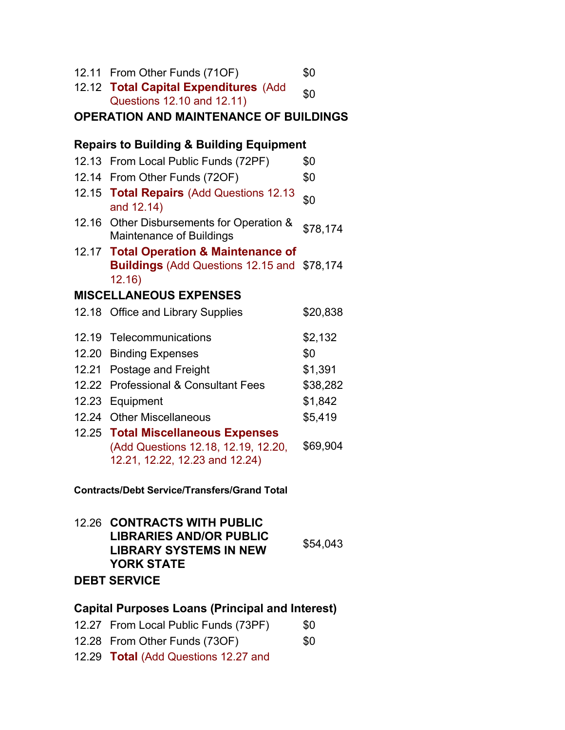|       | 12.11 From Other Funds (71OF)                                                                                                              | \$0      |
|-------|--------------------------------------------------------------------------------------------------------------------------------------------|----------|
|       | 12.12 Total Capital Expenditures (Add                                                                                                      | \$0      |
|       | Questions 12.10 and 12.11)                                                                                                                 |          |
|       | <b>OPERATION AND MAINTENANCE OF BUILDINGS</b>                                                                                              |          |
|       | <b>Repairs to Building &amp; Building Equipment</b>                                                                                        |          |
|       | 12.13 From Local Public Funds (72PF)                                                                                                       | \$0      |
|       | 12.14 From Other Funds (72OF)                                                                                                              | \$0      |
|       | 12.15 Total Repairs (Add Questions 12.13<br>and 12.14)                                                                                     | \$0      |
|       | 12.16 Other Disbursements for Operation &<br><b>Maintenance of Buildings</b>                                                               | \$78,174 |
|       | 12.17 Total Operation & Maintenance of<br><b>Buildings</b> (Add Questions 12.15 and<br>12.16)                                              | \$78,174 |
|       | <b>MISCELLANEOUS EXPENSES</b>                                                                                                              |          |
|       | 12.18 Office and Library Supplies                                                                                                          | \$20,838 |
| 12.19 | Telecommunications                                                                                                                         | \$2,132  |
| 12.20 | <b>Binding Expenses</b>                                                                                                                    | \$0      |
| 12.21 | Postage and Freight                                                                                                                        | \$1,391  |
| 12.22 | <b>Professional &amp; Consultant Fees</b>                                                                                                  | \$38,282 |
|       | 12.23 Equipment                                                                                                                            | \$1,842  |
| 12.24 | <b>Other Miscellaneous</b>                                                                                                                 | \$5,419  |
| 12.25 | <b>Total Miscellaneous Expenses</b>                                                                                                        |          |
|       | (Add Questions 12.18, 12.19, 12.20,<br>12.21, 12.22, 12.23 and 12.24)                                                                      | \$69,904 |
|       | <b>Contracts/Debt Service/Transfers/Grand Total</b>                                                                                        |          |
|       | 12.26 CONTRACTS WITH PUBLIC<br><b>LIBRARIES AND/OR PUBLIC</b><br><b>LIBRARY SYSTEMS IN NEW</b><br><b>YORK STATE</b><br><b>DEBT SERVICE</b> | \$54,043 |
|       |                                                                                                                                            |          |
|       | <b>Capital Purposes Loans (Principal and Interest)</b>                                                                                     |          |
|       | 12.27 From Local Public Funds (73PF)                                                                                                       | \$0      |

- 12.28 From Other Funds (73OF) \$0
- 12.29 **Total** (Add Questions 12.27 and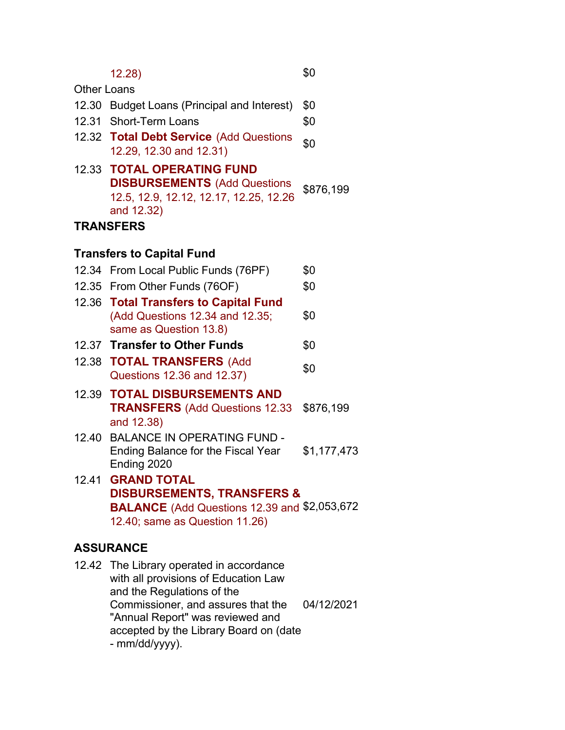|                    | 12.28)                                                                                                                                                                                   | \$0         |
|--------------------|------------------------------------------------------------------------------------------------------------------------------------------------------------------------------------------|-------------|
| <b>Other Loans</b> |                                                                                                                                                                                          |             |
| 12.30              | <b>Budget Loans (Principal and Interest)</b>                                                                                                                                             | \$0         |
|                    | 12.31 Short-Term Loans                                                                                                                                                                   | \$0         |
|                    | 12.32 Total Debt Service (Add Questions<br>12.29, 12.30 and 12.31)                                                                                                                       | \$0         |
|                    | <b>12.33 TOTAL OPERATING FUND</b><br><b>DISBURSEMENTS (Add Questions</b><br>12.5, 12.9, 12.12, 12.17, 12.25, 12.26<br>and 12.32)                                                         | \$876,199   |
|                    | <b>TRANSFERS</b>                                                                                                                                                                         |             |
|                    | <b>Transfers to Capital Fund</b>                                                                                                                                                         |             |
|                    | 12.34 From Local Public Funds (76PF)                                                                                                                                                     | \$0         |
|                    | 12.35 From Other Funds (76OF)                                                                                                                                                            | \$0         |
|                    | 12.36 Total Transfers to Capital Fund<br>(Add Questions 12.34 and 12.35;<br>same as Question 13.8)                                                                                       | \$0         |
|                    | 12.37 Transfer to Other Funds                                                                                                                                                            | \$0         |
|                    | 12.38 <b>TOTAL TRANSFERS</b> (Add<br>Questions 12.36 and 12.37)                                                                                                                          | \$0         |
|                    | <b>12.39 TOTAL DISBURSEMENTS AND</b><br><b>TRANSFERS</b> (Add Questions 12.33)<br>and 12.38)                                                                                             | \$876,199   |
| 12.40              | <b>BALANCE IN OPERATING FUND -</b><br>Ending Balance for the Fiscal Year<br>Ending 2020                                                                                                  | \$1,177,473 |
| 12.41              | <b>GRAND TOTAL</b><br><b>DISBURSEMENTS, TRANSFERS &amp;</b><br><b>BALANCE</b> (Add Questions 12.39 and \$2,053,672<br>12.40; same as Question 11.26)                                     |             |
|                    | <b>ASSURANCE</b>                                                                                                                                                                         |             |
|                    | 12.42 The Library operated in accordance<br>with all provisions of Education Law<br>and the Regulations of the<br>Commissioner, and assures that the<br>"Annual Report" was reviewed and | 04/12/2021  |

accepted by the Library Board on (date

- mm/dd/yyyy).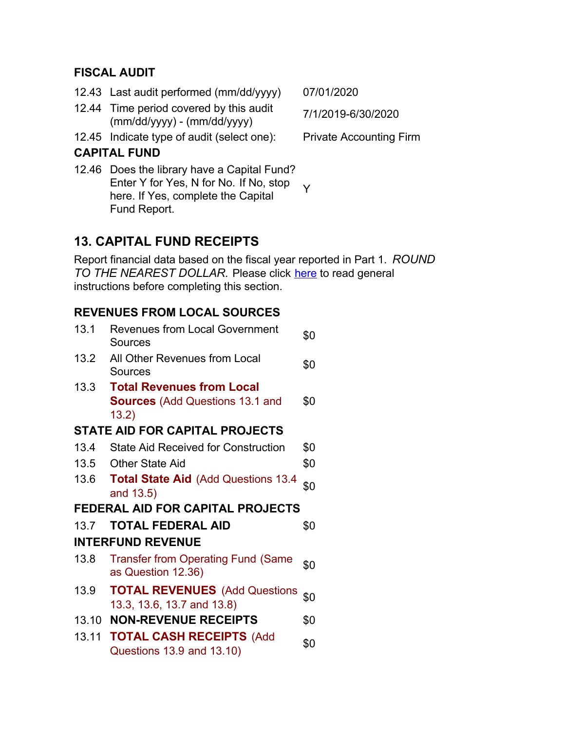### **FISCAL AUDIT**

- 12.43 Last audit performed (mm/dd/yyyy) 07/01/2020
- 12.44 Time period covered by this audit Time period covered by this addit  $\frac{7}{12019}$ -6/30/2020<br>(mm/dd/yyyy) - (mm/dd/yyyy)
- 12.45 Indicate type of audit (select one): Private Accounting Firm

# **CAPITAL FUND**

12.46 Does the library have a Capital Fund? Enter Y for Yes, N for No. If No, stop here. If Yes, complete the Capital Fund Report. Y

# **13. CAPITAL FUND RECEIPTS**

Report financial data based on the fiscal year reported in Part 1. *ROUND* TO THE NEAREST DOLLAR. Please click here to read general instructions before completing this section.

# **REVENUES FROM LOCAL SOURCES**

| 13.1  | <b>Revenues from Local Government</b><br>Sources                   | \$0 |  |  |  |
|-------|--------------------------------------------------------------------|-----|--|--|--|
| 13.2  | All Other Revenues from Local<br>Sources                           | \$0 |  |  |  |
| 13.3  | <b>Total Revenues from Local</b>                                   |     |  |  |  |
|       | <b>Sources</b> (Add Questions 13.1 and                             | \$0 |  |  |  |
|       | 13.2)                                                              |     |  |  |  |
|       | <b>STATE AID FOR CAPITAL PROJECTS</b>                              |     |  |  |  |
| 13.4  | <b>State Aid Received for Construction</b>                         | \$0 |  |  |  |
| 13.5  | <b>Other State Aid</b>                                             | \$0 |  |  |  |
| 13.6  | <b>Total State Aid (Add Questions 13.4)</b><br>and 13.5)           | \$0 |  |  |  |
|       | <b>FEDERAL AID FOR CAPITAL PROJECTS</b>                            |     |  |  |  |
| 13.7  | <b>TOTAL FEDERAL AID</b>                                           | \$0 |  |  |  |
|       | <b>INTERFUND REVENUE</b>                                           |     |  |  |  |
| 13.8  | <b>Transfer from Operating Fund (Same</b><br>as Question 12.36)    | \$0 |  |  |  |
| 13.9  | <b>TOTAL REVENUES</b> (Add Questions<br>13.3, 13.6, 13.7 and 13.8) | \$0 |  |  |  |
| 13.10 | <b>NON-REVENUE RECEIPTS</b>                                        | \$0 |  |  |  |
| 13.11 | <b>TOTAL CASH RECEIPTS (Add</b><br>Questions 13.9 and 13.10)       | \$0 |  |  |  |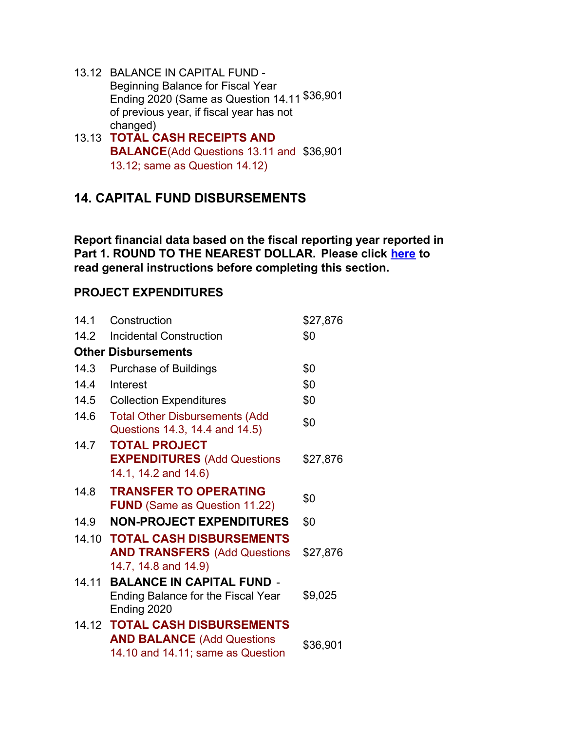- 13.12 BALANCE IN CAPITAL FUND Beginning Balance for Fiscal Year Ending 2020 (Same as Question 14.11 \$36,901 of previous year, if fiscal year has not changed)
- 13.13 **TOTAL CASH RECEIPTS AND BALANCE**(Add Questions 13.11 and \$36,901 13.12; same as Question 14.12)

# **14. CAPITAL FUND DISBURSEMENTS**

**Report financial data based on the fiscal reporting year reported in Part 1. ROUND TO THE NEAREST DOLLAR. Please click here to read general instructions before completing this section.**

## **PROJECT EXPENDITURES**

| 14.1  | Construction                                                                                              | \$27,876 |
|-------|-----------------------------------------------------------------------------------------------------------|----------|
| 14.2  | <b>Incidental Construction</b>                                                                            | \$0      |
|       | <b>Other Disbursements</b>                                                                                |          |
| 14.3  | <b>Purchase of Buildings</b>                                                                              | \$0      |
| 14.4  | Interest                                                                                                  | \$0      |
| 14.5  | <b>Collection Expenditures</b>                                                                            | \$0      |
| 14.6  | <b>Total Other Disbursements (Add</b><br>Questions 14.3, 14.4 and 14.5)                                   | \$0      |
| 14.7  | <b>TOTAL PROJECT</b><br><b>EXPENDITURES</b> (Add Questions<br>14.1, 14.2 and 14.6)                        | \$27,876 |
| 14.8  | <b>TRANSFER TO OPERATING</b><br><b>FUND</b> (Same as Question 11.22)                                      | \$0      |
| 14.9  | <b>NON-PROJECT EXPENDITURES</b>                                                                           | \$0      |
| 14.10 | <b>TOTAL CASH DISBURSEMENTS</b><br><b>AND TRANSFERS (Add Questions)</b><br>14.7, 14.8 and 14.9)           | \$27,876 |
| 14.11 | <b>BALANCE IN CAPITAL FUND -</b><br><b>Ending Balance for the Fiscal Year</b><br>Ending 2020              | \$9,025  |
|       | 14.12 TOTAL CASH DISBURSEMENTS<br><b>AND BALANCE (Add Questions)</b><br>14.10 and 14.11; same as Question | \$36,901 |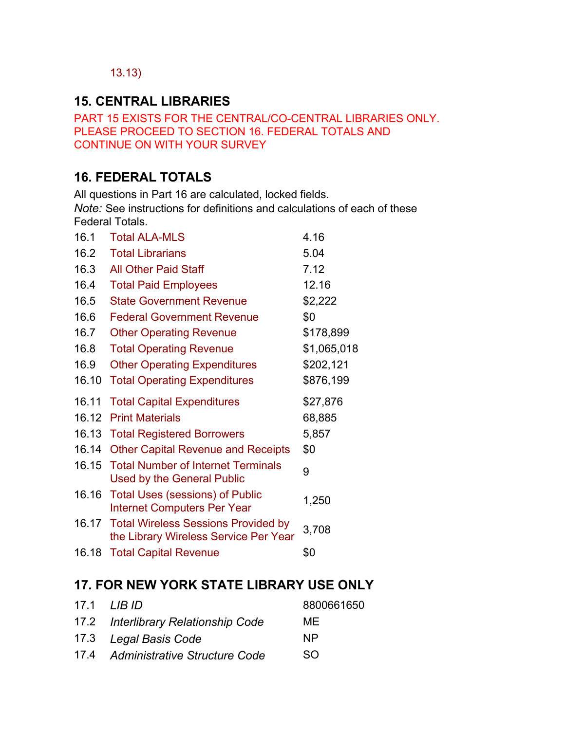## 13.13)

# **15. CENTRAL LIBRARIES**

PART 15 EXISTS FOR THE CENTRAL/CO-CENTRAL LIBRARIES ONLY. PLEASE PROCEED TO SECTION 16. FEDERAL TOTALS AND CONTINUE ON WITH YOUR SURVEY

# **16. FEDERAL TOTALS**

All questions in Part 16 are calculated, locked fields.

*Note:* See instructions for definitions and calculations of each of these Federal Totals.

| 16.1  | <b>Total ALA-MLS</b>                                                               | 4.16        |
|-------|------------------------------------------------------------------------------------|-------------|
| 16.2  | <b>Total Librarians</b>                                                            | 5.04        |
| 16.3  | <b>All Other Paid Staff</b>                                                        | 7.12        |
| 16.4  | <b>Total Paid Employees</b>                                                        | 12.16       |
| 16.5  | <b>State Government Revenue</b>                                                    | \$2,222     |
| 16.6  | <b>Federal Government Revenue</b>                                                  | \$0         |
| 16.7  | <b>Other Operating Revenue</b>                                                     | \$178,899   |
| 16.8  | <b>Total Operating Revenue</b>                                                     | \$1,065,018 |
| 16.9  | <b>Other Operating Expenditures</b>                                                | \$202,121   |
| 16.10 | <b>Total Operating Expenditures</b>                                                | \$876,199   |
| 16.11 | <b>Total Capital Expenditures</b>                                                  | \$27,876    |
| 16.12 | <b>Print Materials</b>                                                             | 68,885      |
| 16.13 | <b>Total Registered Borrowers</b>                                                  | 5,857       |
| 16.14 | <b>Other Capital Revenue and Receipts</b>                                          | \$0         |
| 16.15 | <b>Total Number of Internet Terminals</b><br><b>Used by the General Public</b>     | 9           |
| 16.16 | <b>Total Uses (sessions) of Public</b><br><b>Internet Computers Per Year</b>       | 1,250       |
|       | 16.17 Total Wireless Sessions Provided by<br>the Library Wireless Service Per Year | 3,708       |
| 16.18 | <b>Total Capital Revenue</b>                                                       | \$0         |
|       |                                                                                    |             |

# **17. FOR NEW YORK STATE LIBRARY USE ONLY**

|                                     | 8800661650 |
|-------------------------------------|------------|
| 17.2 Interlibrary Relationship Code | MF         |
| 17.3 Legal Basis Code               | <b>NP</b>  |
| 17.4 Administrative Structure Code  | SO.        |